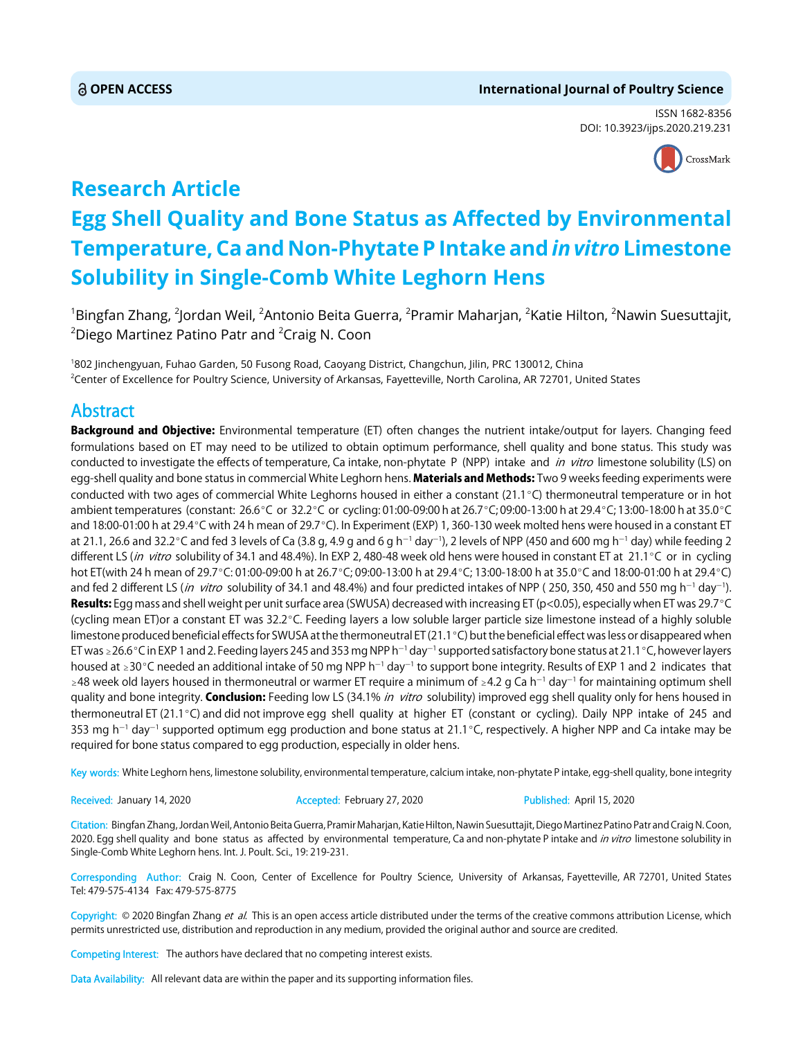# **OPEN ACCESS International Journal of Poultry Science**

ISSN 1682-8356 DOI: 10.3923/ijps.2020.219.231



# **Research Article Egg Shell Quality and Bone Status as Affected by Environmental Temperature, Ca and Non-Phytate P Intake and** *in vitro* **Limestone Solubility in Single-Comb White Leghorn Hens**

 $^{\rm 1}$ Bingfan Zhang,  $^{\rm 2}$ Jordan Weil,  $^{\rm 2}$ Antonio Beita Guerra,  $^{\rm 2}$ Pramir Maharjan,  $^{\rm 2}$ Katie Hilton,  $^{\rm 2}$ Nawin Suesuttajit,  $^{2}$ Diego Martinez Patino Patr and  $^{2}$ Craig N. Coon

1 802 Jinchengyuan, Fuhao Garden, 50 Fusong Road, Caoyang District, Changchun, Jilin, PRC 130012, China <sup>2</sup>Center of Excellence for Poultry Science, University of Arkansas, Fayetteville, North Carolina, AR 72701, United States

# Abstract

Background and Objective: Environmental temperature (ET) often changes the nutrient intake/output for layers. Changing feed formulations based on ET may need to be utilized to obtain optimum performance, shell quality and bone status. This study was conducted to investigate the effects of temperature, Ca intake, non-phytate P (NPP) intake and *in vitro* limestone solubility (LS) on egg-shell quality and bone status in commercial White Leghorn hens. Materials and Methods: Two 9 weeks feeding experiments were conducted with two ages of commercial White Leghorns housed in either a constant ( $21.1^{\circ}$ C) thermoneutral temperature or in hot ambient temperatures (constant: 26.6°C or 32.2°C or cycling: 01:00-09:00 h at 26.7°C; 09:00-13:00 h at 29.4°C; 13:00-18:00 h at 35.0°C and 18:00-01:00 h at 29.4 °C with 24 h mean of 29.7 °C). In Experiment (EXP) 1, 360-130 week molted hens were housed in a constant ET at 21.1, 26.6 and 32.2°C and fed 3 levels of Ca (3.8 g, 4.9 g and 6 g h<sup>-1</sup> day<sup>-1</sup>), 2 levels of NPP (450 and 600 mg h<sup>-1</sup> day) while feeding 2 different LS (in vitro solubility of 34.1 and 48.4%). In EXP 2, 480-48 week old hens were housed in constant ET at 21.1°C or in cycling hot ET(with 24 h mean of 29.7°C: 01:00-09:00 h at 26.7°C; 09:00-13:00 h at 29.4°C; 13:00-18:00 h at 35.0°C and 18:00-01:00 h at 29.4°C) and fed 2 different LS (*in vitro s*olubility of 34.1 and 48.4%) and four predicted intakes of NPP ( 250, 350, 450 and 550 mg h<sup>-1</sup> day<sup>-1</sup>). Results: Egg mass and shell weight per unit surface area (SWUSA) decreased with increasing ET (p<0.05), especially when ET was 29.7 °C (cycling mean ET)or a constant ET was 32.2°C. Feeding layers a low soluble larger particle size limestone instead of a highly soluble limestone produced beneficial effects for SWUSA at the thermoneutral ET (21.1 °C) but the beneficial effect was less or disappeared when ET was ≥26.6°C in EXP 1 and 2. Feeding layers 245 and 353 mg NPP h<sup>-1</sup> day<sup>-1</sup> supported satisfactory bone status at 21.1°C, however layers housed at  $\geq 30^{\circ}$ C needed an additional intake of 50 mg NPP h<sup>-1</sup> day<sup>-1</sup> to support bone integrity. Results of EXP 1 and 2 indicates that  $\geq$ 48 week old layers housed in thermoneutral or warmer ET require a minimum of  $\geq$ 4.2 g Ca h<sup>-1</sup> day<sup>-1</sup> for maintaining optimum shell quality and bone integrity. Conclusion: Feeding low LS (34.1% in vitro solubility) improved egg shell quality only for hens housed in thermoneutral ET (21.1°C) and did not improve egg shell quality at higher ET (constant or cycling). Daily NPP intake of 245 and 353 mg h<sup>-1</sup> day<sup>-1</sup> supported optimum egg production and bone status at 21.1°C, respectively. A higher NPP and Ca intake may be required for bone status compared to egg production, especially in older hens.

Key words: White Leghorn hens, limestone solubility, environmental temperature, calcium intake, non-phytate P intake, egg-shell quality, bone integrity

Received: January 14, 2020 **Accepted: February 27, 2020** Published: April 15, 2020

Citation: Bingfan Zhang, Jordan Weil, Antonio Beita Guerra, Pramir Maharjan, Katie Hilton, Nawin Suesuttajit, Diego Martinez Patino Patr and Craig N. Coon, 2020. Egg shell quality and bone status as affected by environmental temperature, Ca and non-phytate P intake and in vitro limestone solubility in Single-Comb White Leghorn hens. Int. J. Poult. Sci., 19: 219-231.

Corresponding Author: Craig N. Coon, Center of Excellence for Poultry Science, University of Arkansas, Fayetteville, AR 72701, United States Tel: 479-575-4134 Fax: 479-575-8775

Copyright: © 2020 Bingfan Zhang et al. This is an open access article distributed under the terms of the creative commons attribution License, which permits unrestricted use, distribution and reproduction in any medium, provided the original author and source are credited.

Competing Interest: The authors have declared that no competing interest exists.

Data Availability: All relevant data are within the paper and its supporting information files.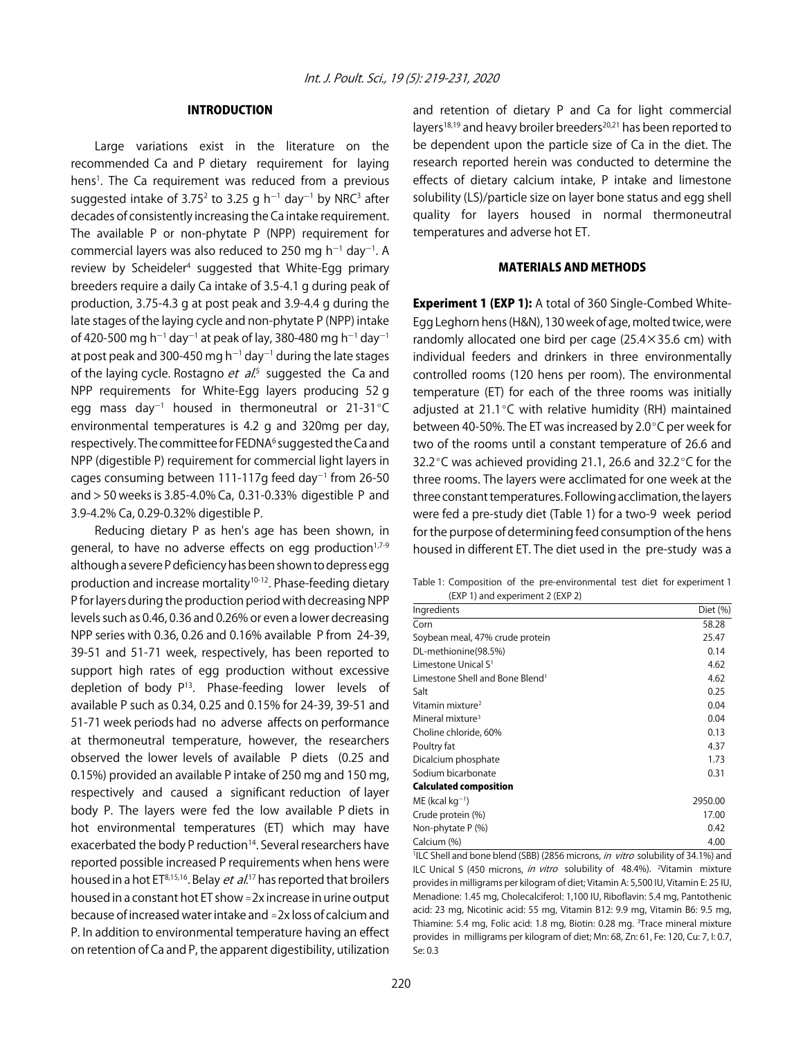# INTRODUCTION

Large variations exist in the literature on the recommended Ca and P dietary requirement for laying hens<sup>1</sup>. The Ca requirement was reduced from a previous suggested intake of 3.75<sup>2</sup> to 3.25 g h<sup>-1</sup> day<sup>-1</sup> by NRC<sup>3</sup> after decades of consistently increasing the Ca intake requirement. The available P or non-phytate P (NPP) requirement for commercial layers was also reduced to 250 mg  $h^{-1}$  day<sup>-1</sup>. A review by Scheideler<sup>4</sup> suggested that White-Egg primary breeders require a daily Ca intake of 3.5-4.1 g during peak of production, 3.75-4.3 g at post peak and 3.9-4.4 g during the late stages of the laying cycle and non-phytate P (NPP) intake of 420-500 mg h<sup>-1</sup> day<sup>-1</sup> at peak of lay, 380-480 mg h<sup>-1</sup> day<sup>-1</sup> at post peak and 300-450 mg h $^{-1}$  day $^{-1}$  during the late stages of the laying cycle. Rostagno *et al.*<sup>5</sup> suggested the Ca and NPP requirements for White-Egg layers producing 52 g egg mass day $^{-1}$  housed in thermoneutral or 21-31 $^{\circ}$ C environmental temperatures is 4.2 g and 320mg per day, respectively. The committee for FEDNA<sup>6</sup> suggested the Ca and NPP (digestible P) requirement for commercial light layers in cages consuming between 111-117g feed day<sup>-1</sup> from 26-50 and > 50 weeks is 3.85-4.0% Ca, 0.31-0.33% digestible P and 3.9-4.2% Ca, 0.29-0.32% digestible P.

Reducing dietary P as hen's age has been shown, in general, to have no adverse effects on egg production<sup>1,7-9</sup> although a severe P deficiency has been shown to depress egg production and increase mortality<sup>10-12</sup>. Phase-feeding dietary P for layers during the production period with decreasing NPP levels such as 0.46, 0.36 and 0.26% or even a lower decreasing NPP series with 0.36, 0.26 and 0.16% available P from 24-39, 39-51 and 51-71 week, respectively, has been reported to support high rates of egg production without excessive depletion of body  $P^{13}$ . Phase-feeding lower levels of available P such as 0.34, 0.25 and 0.15% for 24-39, 39-51 and 51-71 week periods had no adverse affects on performance at thermoneutral temperature, however, the researchers observed the lower levels of available P diets (0.25 and 0.15%) provided an available P intake of 250 mg and 150 mg, respectively and caused a significant reduction of layer body P. The layers were fed the low available P diets in hot environmental temperatures (ET) which may have exacerbated the body P reduction<sup>14</sup>. Several researchers have reported possible increased P requirements when hens were housed in a hot ET<sup>8,15,16</sup>. Belay *et al*.<sup>17</sup> has reported that broilers housed in a constant hot ET show  $\approx$  2x increase in urine output because of increased water intake and  $\approx$  2x loss of calcium and P. In addition to environmental temperature having an effect on retention of Ca and P, the apparent digestibility, utilization

and retention of dietary P and Ca for light commercial layers<sup>18,19</sup> and heavy broiler breeders<sup>20,21</sup> has been reported to be dependent upon the particle size of Ca in the diet. The research reported herein was conducted to determine the effects of dietary calcium intake, P intake and limestone solubility (LS)/particle size on layer bone status and egg shell quality for layers housed in normal thermoneutral temperatures and adverse hot ET.

# MATERIALS AND METHODS

Experiment 1 (EXP 1): A total of 360 Single-Combed White-Egg Leghorn hens (H&N), 130 week of age, molted twice, were randomly allocated one bird per cage (25.4×35.6 cm) with individual feeders and drinkers in three environmentally controlled rooms (120 hens per room). The environmental temperature (ET) for each of the three rooms was initially adjusted at 21.1 $\degree$ C with relative humidity (RH) maintained between 40-50%. The ET was increased by 2.0 $\degree$ C per week for two of the rooms until a constant temperature of 26.6 and 32.2 $\degree$ C was achieved providing 21.1, 26.6 and 32.2 $\degree$ C for the three rooms. The layers were acclimated for one week at the three constant temperatures. Following acclimation, the layers were fed a pre-study diet (Table 1) for a two-9 week period for the purpose of determining feed consumption of the hens housed in different ET. The diet used in the pre-study was a

Table 1: Composition of the pre-environmental test diet for experiment 1 (EXP 1) and experiment 2 (EXP 2)

| $\frac{1}{2}$ and $\frac{1}{2}$ and $\frac{1}{2}$ and $\frac{1}{2}$ and $\frac{1}{2}$ and $\frac{1}{2}$ |          |
|---------------------------------------------------------------------------------------------------------|----------|
| Ingredients                                                                                             | Diet (%) |
| Corn                                                                                                    | 58.28    |
| Soybean meal, 47% crude protein                                                                         | 25.47    |
| DL-methionine(98.5%)                                                                                    | 0.14     |
| Limestone Unical S <sup>1</sup>                                                                         | 4.62     |
| Limestone Shell and Bone Blend <sup>1</sup>                                                             | 4.62     |
| Salt                                                                                                    | 0.25     |
| Vitamin mixture <sup>2</sup>                                                                            | 0.04     |
| Mineral mixture <sup>3</sup>                                                                            | 0.04     |
| Choline chloride, 60%                                                                                   | 0.13     |
| Poultry fat                                                                                             | 4.37     |
| Dicalcium phosphate                                                                                     | 1.73     |
| Sodium bicarbonate                                                                                      | 0.31     |
| <b>Calculated composition</b>                                                                           |          |
| $ME$ (kcal kg <sup>-1</sup> )                                                                           | 2950.00  |
| Crude protein (%)                                                                                       | 17.00    |
| Non-phytate P (%)                                                                                       | 0.42     |
| Calcium (%)                                                                                             | 4.00     |

<sup>1</sup>ILC Shell and bone blend (SBB) (2856 microns, *in vitro* solubility of 34.1%) and ILC Unical S (450 microns, in vitro solubility of 48.4%). <sup>2</sup>Vitamin mixture provides in milligrams per kilogram of diet; Vitamin A: 5,500 IU, Vitamin E: 25 IU, Menadione: 1.45 mg, Cholecalciferol: 1,100 IU, Riboflavin: 5.4 mg, Pantothenic acid: 23 mg, Nicotinic acid: 55 mg, Vitamin B12: 9.9 mg, Vitamin B6: 9.5 mg, Thiamine: 5.4 mg, Folic acid: 1.8 mg, Biotin: 0.28 mg. <sup>3</sup>Trace mineral mixture provides in milligrams per kilogram of diet; Mn: 68, Zn: 61, Fe: 120, Cu: 7, I: 0.7, Se: 0.3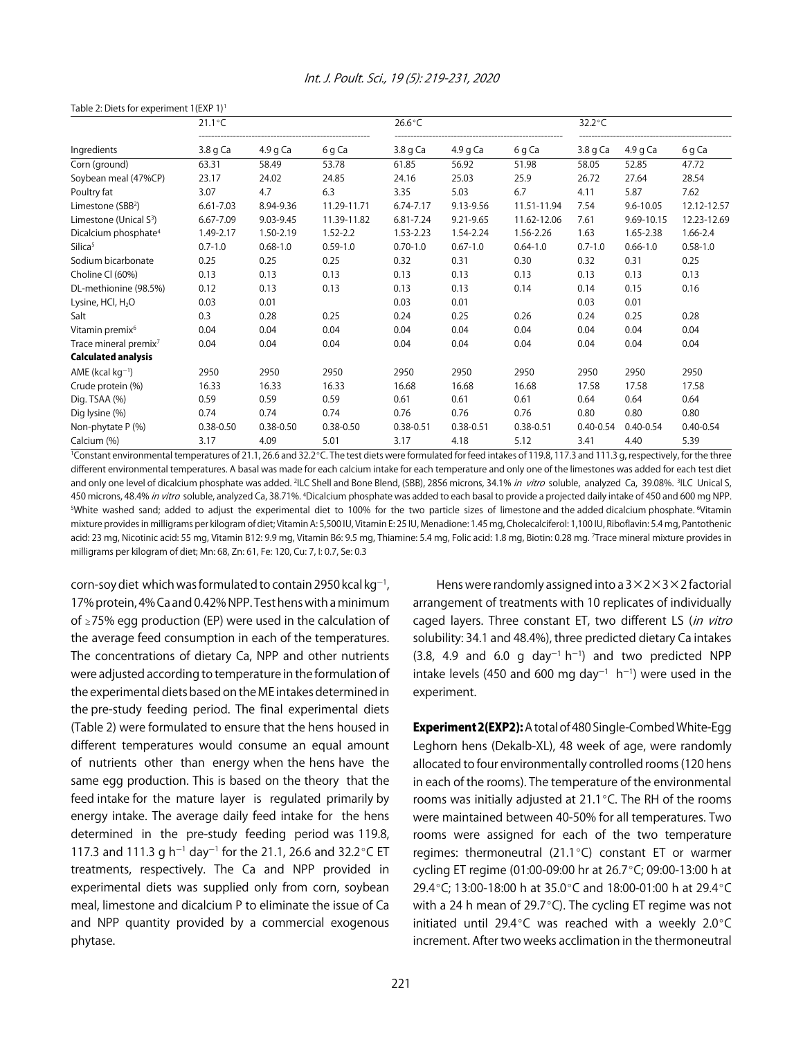| Table 2: Diets for experiment 1(EXP 1) <sup>1</sup> |                  |               |               |                  |               |               |                  |               |               |
|-----------------------------------------------------|------------------|---------------|---------------|------------------|---------------|---------------|------------------|---------------|---------------|
|                                                     | $21.1^{\circ}$ C |               |               | $26.6^{\circ}$ C |               |               | $32.2^{\circ}$ C |               |               |
| Ingredients                                         | $3.8q$ Ca        | 4.9 g Ca      | 6 g Ca        | 3.8 g Ca         | $4.9q$ Ca     | 6 g Ca        | 3.8 g Ca         | 4.9 g $Ca$    | 6 g Ca        |
| Corn (ground)                                       | 63.31            | 58.49         | 53.78         | 61.85            | 56.92         | 51.98         | 58.05            | 52.85         | 47.72         |
| Soybean meal (47%CP)                                | 23.17            | 24.02         | 24.85         | 24.16            | 25.03         | 25.9          | 26.72            | 27.64         | 28.54         |
| Poultry fat                                         | 3.07             | 4.7           | 6.3           | 3.35             | 5.03          | 6.7           | 4.11             | 5.87          | 7.62          |
| Limestone (SBB <sup>2</sup> )                       | 6.61-7.03        | 8.94-9.36     | 11.29-11.71   | 6.74-7.17        | 9.13-9.56     | 11.51-11.94   | 7.54             | $9.6 - 10.05$ | 12.12-12.57   |
| Limestone (Unical S <sup>3</sup> )                  | 6.67-7.09        | 9.03-9.45     | 11.39-11.82   | 6.81-7.24        | 9.21-9.65     | 11.62-12.06   | 7.61             | 9.69-10.15    | 12.23-12.69   |
| Dicalcium phosphate <sup>4</sup>                    | 1.49-2.17        | 1.50-2.19     | $1.52 - 2.2$  | 1.53-2.23        | 1.54-2.24     | 1.56-2.26     | 1.63             | 1.65-2.38     | 1.66-2.4      |
| Silica <sup>5</sup>                                 | $0.7 - 1.0$      | $0.68 - 1.0$  | $0.59 - 1.0$  | $0.70 - 1.0$     | $0.67 - 1.0$  | $0.64 - 1.0$  | $0.7 - 1.0$      | $0.66 - 1.0$  | $0.58 - 1.0$  |
| Sodium bicarbonate                                  | 0.25             | 0.25          | 0.25          | 0.32             | 0.31          | 0.30          | 0.32             | 0.31          | 0.25          |
| Choline CI (60%)                                    | 0.13             | 0.13          | 0.13          | 0.13             | 0.13          | 0.13          | 0.13             | 0.13          | 0.13          |
| DL-methionine (98.5%)                               | 0.12             | 0.13          | 0.13          | 0.13             | 0.13          | 0.14          | 0.14             | 0.15          | 0.16          |
| Lysine, HCl, H <sub>2</sub> O                       | 0.03             | 0.01          |               | 0.03             | 0.01          |               | 0.03             | 0.01          |               |
| Salt                                                | 0.3              | 0.28          | 0.25          | 0.24             | 0.25          | 0.26          | 0.24             | 0.25          | 0.28          |
| Vitamin premix <sup>6</sup>                         | 0.04             | 0.04          | 0.04          | 0.04             | 0.04          | 0.04          | 0.04             | 0.04          | 0.04          |
| Trace mineral premix <sup>7</sup>                   | 0.04             | 0.04          | 0.04          | 0.04             | 0.04          | 0.04          | 0.04             | 0.04          | 0.04          |
| <b>Calculated analysis</b>                          |                  |               |               |                  |               |               |                  |               |               |
| AME (kcal $kg^{-1}$ )                               | 2950             | 2950          | 2950          | 2950             | 2950          | 2950          | 2950             | 2950          | 2950          |
| Crude protein (%)                                   | 16.33            | 16.33         | 16.33         | 16.68            | 16.68         | 16.68         | 17.58            | 17.58         | 17.58         |
| Dig. TSAA (%)                                       | 0.59             | 0.59          | 0.59          | 0.61             | 0.61          | 0.61          | 0.64             | 0.64          | 0.64          |
| Dig lysine (%)                                      | 0.74             | 0.74          | 0.74          | 0.76             | 0.76          | 0.76          | 0.80             | 0.80          | 0.80          |
| Non-phytate P (%)                                   | $0.38 - 0.50$    | $0.38 - 0.50$ | $0.38 - 0.50$ | $0.38 - 0.51$    | $0.38 - 0.51$ | $0.38 - 0.51$ | $0.40 - 0.54$    | $0.40 - 0.54$ | $0.40 - 0.54$ |
| Calcium (%)                                         | 3.17             | 4.09          | 5.01          | 3.17             | 4.18          | 5.12          | 3.41             | 4.40          | 5.39          |

# Int. J. Poult. Sci., 19 (5): 219-231, 2020

<sup>1</sup>Constant environmental temperatures of 21.1, 26.6 and 32.2°C. The test diets were formulated for feed intakes of 119.8, 117.3 and 111.3 g, respectively, for the three different environmental temperatures. A basal was made for each calcium intake for each temperature and only one of the limestones was added for each test diet and only one level of dicalcium phosphate was added. <sup>2</sup>ILC Shell and Bone Blend, (SBB), 2856 microns, 34.1% in vitro soluble, analyzed Ca, 39.08%. <sup>3</sup>ILC Unical S, 450 microns, 48.4% *in vitro* soluble, analyzed Ca, 38.71%. <sup>4</sup>Dicalcium phosphate was added to each basal to provide a projected daily intake of 450 and 600 mg NPP. 5 White washed sand; added to adjust the experimental diet to 100% for the two particle sizes of limestone and the added dicalcium phosphate. 6 Vitamin mixture provides in milligrams per kilogram of diet; Vitamin A: 5,500 IU, Vitamin E: 25 IU, Menadione: 1.45 mg, Cholecalciferol: 1,100 IU, Riboflavin: 5.4 mg, Pantothenic acid: 23 mg, Nicotinic acid: 55 mg, Vitamin B12: 9.9 mg, Vitamin B6: 9.5 mg, Thiamine: 5.4 mg, Folic acid: 1.8 mg, Biotin: 0.28 mg. 7 Trace mineral mixture provides in milligrams per kilogram of diet; Mn: 68, Zn: 61, Fe: 120, Cu: 7, I: 0.7, Se: 0.3

corn-soy diet which was formulated to contain 2950 kcal kg $^{-1}$ , 17% protein, 4% Ca and 0.42% NPP. Test hens with a minimum of  $\ge$  75% egg production (EP) were used in the calculation of the average feed consumption in each of the temperatures. The concentrations of dietary Ca, NPP and other nutrients were adjusted according to temperature in the formulation of the experimental diets based on the ME intakes determined in the pre-study feeding period. The final experimental diets (Table 2) were formulated to ensure that the hens housed in different temperatures would consume an equal amount of nutrients other than energy when the hens have the same egg production. This is based on the theory that the feed intake for the mature layer is regulated primarily by energy intake. The average daily feed intake for the hens determined in the pre-study feeding period was 119.8, 117.3 and 111.3 g h<sup>-1</sup> day<sup>-1</sup> for the 21.1, 26.6 and 32.2 °C ET treatments, respectively. The Ca and NPP provided in experimental diets was supplied only from corn, soybean meal, limestone and dicalcium P to eliminate the issue of Ca and NPP quantity provided by a commercial exogenous phytase.

Hens were randomly assigned into a  $3\times2\times3\times2$  factorial arrangement of treatments with 10 replicates of individually caged layers. Three constant ET, two different LS (in vitro solubility: 34.1 and 48.4%), three predicted dietary Ca intakes  $(3.8, 4.9 \text{ and } 6.0 \text{ g day}^{-1} \text{ h}^{-1})$  and two predicted NPP intake levels (450 and 600 mg day $^{-1}$  h $^{-1}$ ) were used in the experiment.

Experiment 2(EXP2): A total of 480 Single-Combed White-Egg Leghorn hens (Dekalb-XL), 48 week of age, were randomly allocated to four environmentally controlled rooms (120 hens in each of the rooms). The temperature of the environmental rooms was initially adjusted at  $21.1^{\circ}$ C. The RH of the rooms were maintained between 40-50% for all temperatures. Two rooms were assigned for each of the two temperature regimes: thermoneutral (21.1 $^{\circ}$ C) constant ET or warmer cycling ET regime (01:00-09:00 hr at 26.7°C; 09:00-13:00 h at 29.4°C; 13:00-18:00 h at 35.0°C and 18:00-01:00 h at 29.4°C with a 24 h mean of 29.7 $\degree$ C). The cycling ET regime was not initiated until 29.4°C was reached with a weekly 2.0°C increment. After two weeks acclimation in the thermoneutral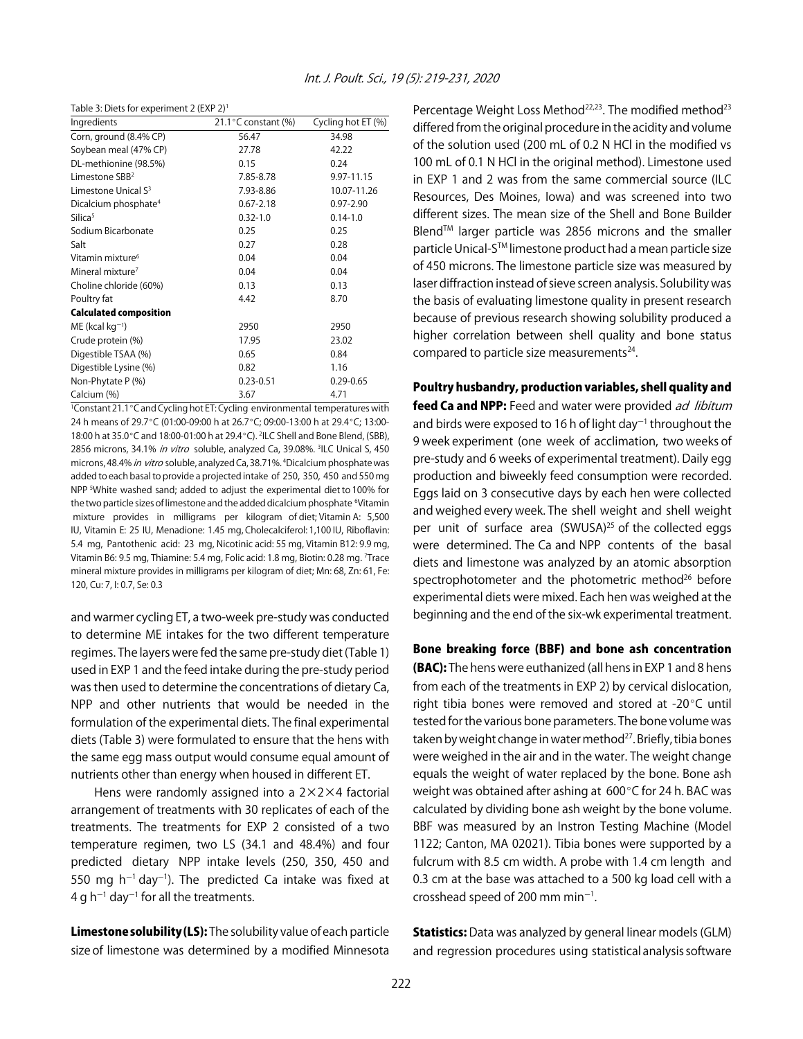Table 3: Diets for experiment 2 (EXP 2)1

| Ingredients                      | 21.1 $\degree$ C constant (%) | Cycling hot ET (%) |
|----------------------------------|-------------------------------|--------------------|
| Corn, ground (8.4% CP)           | 56.47                         | 34.98              |
| Soybean meal (47% CP)            | 27.78                         | 42.22              |
| DL-methionine (98.5%)            | 0.15                          | 0.24               |
| Limestone SBB <sup>2</sup>       | 7.85-8.78                     | 9.97-11.15         |
| Limestone Unical S <sup>3</sup>  | 7.93-8.86                     | 10.07-11.26        |
| Dicalcium phosphate <sup>4</sup> | $0.67 - 2.18$                 | $0.97 - 2.90$      |
| Silica <sup>5</sup>              | $0.32 - 1.0$                  | $0.14 - 1.0$       |
| Sodium Bicarbonate               | 0.25                          | 0.25               |
| Salt                             | 0.27                          | 0.28               |
| Vitamin mixture <sup>6</sup>     | 0.04                          | 0.04               |
| Mineral mixture <sup>7</sup>     | 0.04                          | 0.04               |
| Choline chloride (60%)           | 0.13                          | 0.13               |
| Poultry fat                      | 4.42                          | 8.70               |
| <b>Calculated composition</b>    |                               |                    |
| $ME$ (kcal kg <sup>-1</sup> )    | 2950                          | 2950               |
| Crude protein (%)                | 17.95                         | 23.02              |
| Digestible TSAA (%)              | 0.65                          | 0.84               |
| Digestible Lysine (%)            | 0.82                          | 1.16               |
| Non-Phytate P (%)                | $0.23 - 0.51$                 | $0.29 - 0.65$      |
| Calcium (%)                      | 3.67                          | 4.71               |

<sup>1</sup>Constant 21.1 °C and Cycling hot ET: Cycling environmental temperatures with 24 h means of 29.7°C (01:00-09:00 h at 26.7°C; 09:00-13:00 h at 29.4°C; 13:00-18:00 h at 35.0 °C and 18:00-01:00 h at 29.4 °C). <sup>2</sup>ILC Shell and Bone Blend, (SBB), 2856 microns, 34.1% *in vitro* soluble, analyzed Ca, 39.08%. <sup>3</sup>ILC Unical S, 450 microns, 48.4% *in vitro* soluble, analyzed Ca, 38.71%. <sup>4</sup>Dicalcium phosphate was added to each basal to provide a projected intake of 250, 350, 450 and 550 mg NPP <sup>5</sup>White washed sand; added to adjust the experimental diet to 100% for the two particle sizes of limestone and the added dicalcium phosphate <sup>6</sup>Vitamin mixture provides in milligrams per kilogram of diet; Vitamin A: 5,500 IU, Vitamin E: 25 IU, Menadione: 1.45 mg, Cholecalciferol: 1,100 IU, Riboflavin: 5.4 mg, Pantothenic acid: 23 mg, Nicotinic acid: 55 mg, Vitamin B12: 9.9 mg, Vitamin B6: 9.5 mg, Thiamine: 5.4 mg, Folic acid: 1.8 mg, Biotin: 0.28 mg. 7 Trace mineral mixture provides in milligrams per kilogram of diet; Mn: 68, Zn: 61, Fe: 120, Cu: 7, I: 0.7, Se: 0.3

and warmer cycling ET, a two-week pre-study was conducted to determine ME intakes for the two different temperature regimes. The layers were fed the same pre-study diet (Table 1) used in EXP 1 and the feed intake during the pre-study period was then used to determine the concentrations of dietary Ca, NPP and other nutrients that would be needed in the formulation of the experimental diets. The final experimental diets (Table 3) were formulated to ensure that the hens with the same egg mass output would consume equal amount of nutrients other than energy when housed in different ET.

Hens were randomly assigned into a  $2 \times 2 \times 4$  factorial arrangement of treatments with 30 replicates of each of the treatments. The treatments for EXP 2 consisted of a two temperature regimen, two LS (34.1 and 48.4%) and four predicted dietary NPP intake levels (250, 350, 450 and 550 mg h<sup>-1</sup> day<sup>-1</sup>). The predicted Ca intake was fixed at 4 g h $^{-1}$  day $^{-1}$  for all the treatments.

Limestone solubility (LS): The solubility value of each particle size of limestone was determined by a modified Minnesota Percentage Weight Loss Method<sup>22,23</sup>. The modified method<sup>23</sup> differed from the original procedure in the acidity and volume of the solution used (200 mL of 0.2 N HCl in the modified vs 100 mL of 0.1 N HCl in the original method). Limestone used in EXP 1 and 2 was from the same commercial source (ILC Resources, Des Moines, Iowa) and was screened into two different sizes. The mean size of the Shell and Bone Builder BlendTM larger particle was 2856 microns and the smaller particle Unical-STM limestone product had a mean particle size of 450 microns. The limestone particle size was measured by laser diffraction instead of sieve screen analysis. Solubility was the basis of evaluating limestone quality in present research because of previous research showing solubility produced a higher correlation between shell quality and bone status compared to particle size measurements<sup>24</sup>.

#### Poultry husbandry, production variables, shell quality and

feed Ca and NPP: Feed and water were provided ad libitum and birds were exposed to 16 h of light day $^{-1}$  throughout the 9 week experiment (one week of acclimation, two weeks of pre-study and 6 weeks of experimental treatment). Daily egg production and biweekly feed consumption were recorded. Eggs laid on 3 consecutive days by each hen were collected and weighed every week. The shell weight and shell weight per unit of surface area (SWUSA)<sup>25</sup> of the collected eggs were determined. The Ca and NPP contents of the basal diets and limestone was analyzed by an atomic absorption spectrophotometer and the photometric method<sup>26</sup> before experimental diets were mixed. Each hen was weighed at the beginning and the end of the six-wk experimental treatment.

#### Bone breaking force (BBF) and bone ash concentration

(BAC): The hens were euthanized (all hens in EXP 1 and 8 hens from each of the treatments in EXP 2) by cervical dislocation, right tibia bones were removed and stored at -20 $\degree$ C until tested for the various bone parameters. The bone volume was taken by weight change in water method<sup>27</sup>. Briefly, tibia bones were weighed in the air and in the water. The weight change equals the weight of water replaced by the bone. Bone ash weight was obtained after ashing at  $600^{\circ}$ C for 24 h. BAC was calculated by dividing bone ash weight by the bone volume. BBF was measured by an Instron Testing Machine (Model 1122; Canton, MA 02021). Tibia bones were supported by a fulcrum with 8.5 cm width. A probe with 1.4 cm length and 0.3 cm at the base was attached to a 500 kg load cell with a crosshead speed of 200 mm min $^{-1}$ .

**Statistics:** Data was analyzed by general linear models (GLM) and regression procedures using statistical analysis software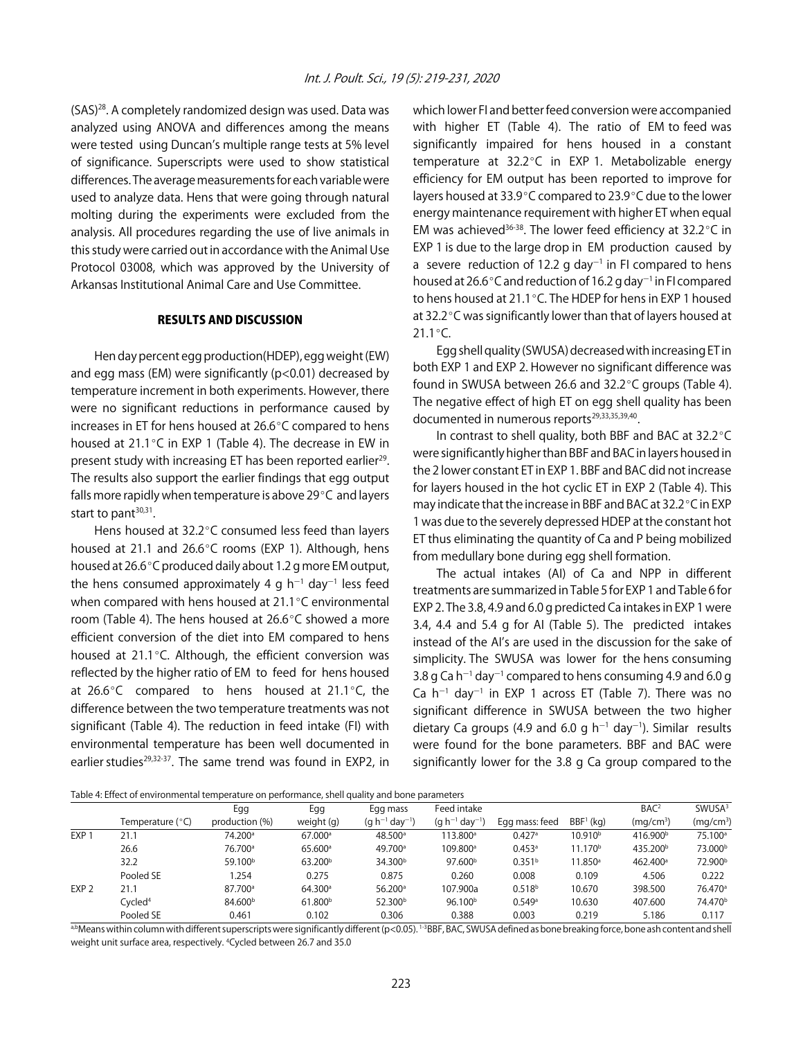(SAS)28. A completely randomized design was used. Data was analyzed using ANOVA and differences among the means were tested using Duncan's multiple range tests at 5% level of significance. Superscripts were used to show statistical differences. The average measurements for each variable were used to analyze data. Hens that were going through natural molting during the experiments were excluded from the analysis. All procedures regarding the use of live animals in this study were carried out in accordance with the Animal Use Protocol 03008, which was approved by the University of Arkansas Institutional Animal Care and Use Committee.

# RESULTS AND DISCUSSION

Hen day percent egg production(HDEP), egg weight (EW) and egg mass (EM) were significantly ( $p<0.01$ ) decreased by temperature increment in both experiments. However, there were no significant reductions in performance caused by increases in ET for hens housed at  $26.6^{\circ}$ C compared to hens housed at 21.1 $\degree$ C in EXP 1 (Table 4). The decrease in EW in present study with increasing ET has been reported earlier<sup>29</sup>. The results also support the earlier findings that egg output falls more rapidly when temperature is above  $29^{\circ}$ C and layers start to pant $30,31$ .

Hens housed at  $32.2^{\circ}$ C consumed less feed than layers housed at 21.1 and 26.6°C rooms (EXP 1). Although, hens housed at 26.6°C produced daily about 1.2 g more EM output, the hens consumed approximately 4 g h $^{-1}$  day $^{-1}$  less feed when compared with hens housed at  $21.1^{\circ}$ C environmental room (Table 4). The hens housed at  $26.6^{\circ}$ C showed a more efficient conversion of the diet into EM compared to hens housed at  $21.1^{\circ}$ C. Although, the efficient conversion was reflected by the higher ratio of EM to feed for hens housed at  $26.6^{\circ}$ C compared to hens housed at  $21.1^{\circ}$ C, the difference between the two temperature treatments was not significant (Table 4). The reduction in feed intake (FI) with environmental temperature has been well documented in earlier studies<sup>29,32-37</sup>. The same trend was found in EXP2, in

which lower FI and better feed conversion were accompanied with higher ET (Table 4). The ratio of EM to feed was significantly impaired for hens housed in a constant temperature at  $32.2^{\circ}$ C in EXP 1. Metabolizable energy efficiency for EM output has been reported to improve for layers housed at 33.9°C compared to 23.9°C due to the lower energy maintenance requirement with higher ET when equal EM was achieved<sup>36-38</sup>. The lower feed efficiency at  $32.2^{\circ}$ C in EXP 1 is due to the large drop in EM production caused by a severe reduction of 12.2 g day<sup>-1</sup> in FI compared to hens housed at 26.6 $^{\circ}$ C and reduction of 16.2 g day $^{-1}$  in FI compared to hens housed at 21.1 $^{\circ}$ C. The HDEP for hens in EXP 1 housed at 32.2°C was significantly lower than that of layers housed at  $21.1^{\circ}$ C.

Egg shell quality (SWUSA) decreased with increasing ET in both EXP 1 and EXP 2. However no significant difference was found in SWUSA between 26.6 and  $32.2^{\circ}$ C groups (Table 4). The negative effect of high ET on egg shell quality has been documented in numerous reports<sup>29,33,35,39,40</sup>.

In contrast to shell quality, both BBF and BAC at  $32.2^{\circ}$ C were significantly higher than BBF and BAC in layers housed in the 2 lower constant ET in EXP 1. BBF and BAC did not increase for layers housed in the hot cyclic ET in EXP 2 (Table 4). This may indicate that the increase in BBF and BAC at 32.2°C in EXP 1 was due to the severely depressed HDEP at the constant hot ET thus eliminating the quantity of Ca and P being mobilized from medullary bone during egg shell formation.

The actual intakes (AI) of Ca and NPP in different treatments are summarized in Table 5 for EXP 1 and Table 6 for EXP 2. The 3.8, 4.9 and 6.0 g predicted Ca intakes in EXP 1 were 3.4, 4.4 and 5.4 g for AI (Table 5). The predicted intakes instead of the AI's are used in the discussion for the sake of simplicity. The SWUSA was lower for the hens consuming 3.8 g Ca  $h^{-1}$  day<sup>-1</sup> compared to hens consuming 4.9 and 6.0 g Ca  $h^{-1}$  day<sup>-1</sup> in EXP 1 across ET (Table 7). There was no significant difference in SWUSA between the two higher dietary Ca groups (4.9 and 6.0 g  $h^{-1}$  day<sup>-1</sup>). Similar results were found for the bone parameters. BBF and BAC were significantly lower for the 3.8 g Ca group compared to the

Table 4: Effect of environmental temperature on performance, shell quality and bone parameters

|                  |                     | Egg                 | Egg                   | Egg mass              | Feed intake           |                      |                     | BAC <sup>2</sup>      | SWUSA <sup>3</sup>    |
|------------------|---------------------|---------------------|-----------------------|-----------------------|-----------------------|----------------------|---------------------|-----------------------|-----------------------|
|                  | Temperature (°C)    | production (%)      | weight (g)            | $(q h^{-1} day^{-1})$ | $(q h^{-1} day^{-1})$ | Egg mass: feed       | $BBF1$ (kg)         | (mq/cm <sup>3</sup> ) | (mq/cm <sup>3</sup> ) |
| EXP <sub>1</sub> | 21.7                | 74.200 <sup>a</sup> | $67.000$ <sup>a</sup> | $48.500^{\circ}$      | $13.800^{\circ}$      | 0.427a               | 10.910 <sup>b</sup> | 416.900 <sup>b</sup>  | 75.100 <sup>a</sup>   |
|                  | 26.6                | 76.700 <sup>a</sup> | 65.600 <sup>a</sup>   | 49.700 <sup>a</sup>   | 109.800 <sup>a</sup>  | $0.453$ <sup>a</sup> | 11.170 <sup>b</sup> | 435.200 <sup>b</sup>  | 73.000 <sup>b</sup>   |
|                  | 32.2                | 59.100 <sup>b</sup> | 63.200 <sup>b</sup>   | 34.300 <sup>b</sup>   | 97.600 <sup>b</sup>   | 0.351 <sup>b</sup>   | 11.850 <sup>a</sup> | 462.400 <sup>a</sup>  | 72.900 <sup>b</sup>   |
|                  | Pooled SE           | .254                | 0.275                 | 0.875                 | 0.260                 | 0.008                | 0.109               | 4.506                 | 0.222                 |
| EXP <sub>2</sub> | 21.1                | 87.700 <sup>a</sup> | 64.300 <sup>a</sup>   | $56.200$ <sup>a</sup> | 107.900a              | 0.518 <sup>b</sup>   | 10.670              | 398.500               | 76.470 <sup>a</sup>   |
|                  | Cycled <sup>4</sup> | 84.600 <sup>b</sup> | 61.800 <sup>b</sup>   | 52.300 <sup>b</sup>   | 96.100 <sup>b</sup>   | 0.549a               | 10.630              | 407.600               | 74.470 <sup>b</sup>   |
|                  | Pooled SE           | 0.461               | 0.102                 | 0.306                 | 0.388                 | 0.003                | 0.219               | 5.186                 | 0.117                 |

a,bMeans within column with different superscripts were significantly different (p<0.05). <sup>1-3</sup>BBF, BAC, SWUSA defined as bone breaking force, bone ash content and shell weight unit surface area, respectively. 4 Cycled between 26.7 and 35.0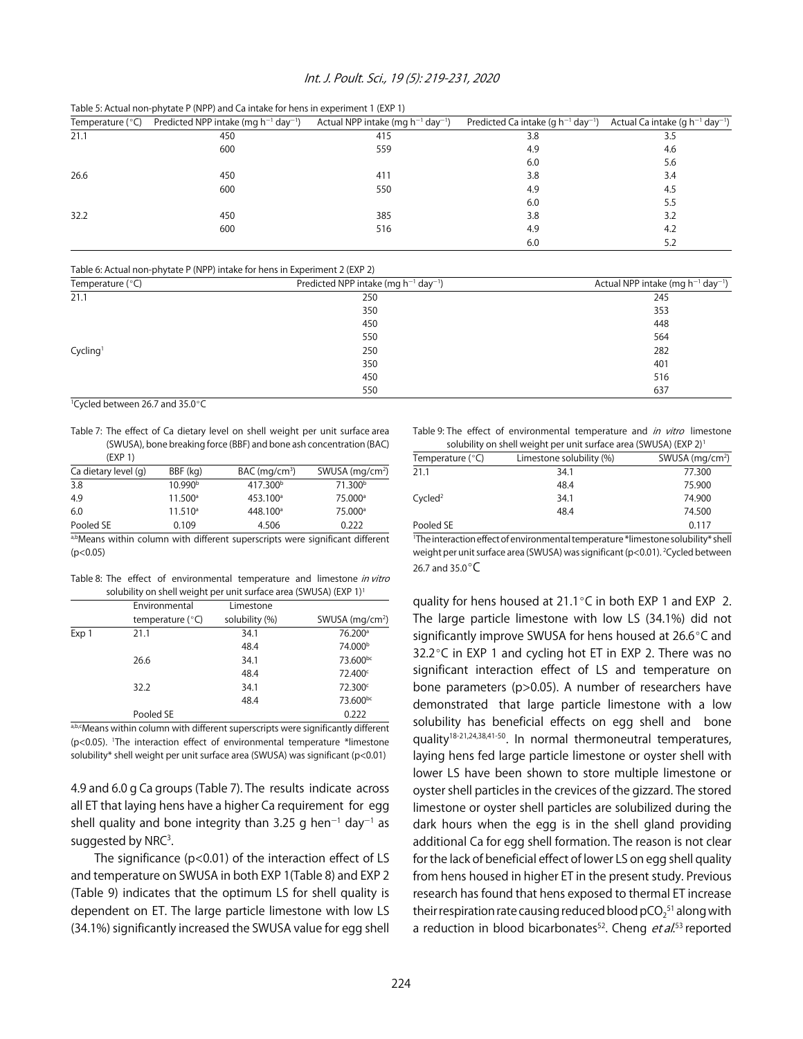#### Int. J. Poult. Sci., 19 (5): 219-231, 2020

Table 5: Actual non-phytate P (NPP) and Ca intake for hens in experiment 1 (EXP 1)

| Temperature $(°C)$ | Predicted NPP intake (mg $h^{-1}$ day <sup>-1</sup> ) | Actual NPP intake (mg $h^{-1}$ day <sup>-1</sup> ) | Predicted Ca intake (g $h^{-1}$ day <sup>-1</sup> ) | Actual Ca intake (g $h^{-1}$ day <sup>-1</sup> ) |
|--------------------|-------------------------------------------------------|----------------------------------------------------|-----------------------------------------------------|--------------------------------------------------|
| 21.1               | 450                                                   | 415                                                | 3.8                                                 | 3.5                                              |
|                    | 600                                                   | 559                                                | 4.9                                                 | 4.6                                              |
|                    |                                                       |                                                    | 6.0                                                 | 5.6                                              |
| 26.6               | 450                                                   | 411                                                | 3.8                                                 | 3.4                                              |
|                    | 600                                                   | 550                                                | 4.9                                                 | 4.5                                              |
|                    |                                                       |                                                    | 6.0                                                 | 5.5                                              |
| 32.2               | 450                                                   | 385                                                | 3.8                                                 | 3.2                                              |
|                    | 600                                                   | 516                                                | 4.9                                                 | 4.2                                              |
|                    |                                                       |                                                    | 6.0                                                 | 5.2                                              |

Table 6: Actual non-phytate P (NPP) intake for hens in Experiment 2 (EXP 2)

| Temperature (°C)     | Predicted NPP intake (mg $h^{-1}$ day <sup>-1</sup> ) | Actual NPP intake (mg $h^{-1}$ day <sup>-1</sup> ) |
|----------------------|-------------------------------------------------------|----------------------------------------------------|
| 21.1                 | 250                                                   | 245                                                |
|                      | 350                                                   | 353                                                |
|                      | 450                                                   | 448                                                |
|                      | 550                                                   | 564                                                |
| Cycling <sup>1</sup> | 250                                                   | 282                                                |
|                      | 350                                                   | 401                                                |
|                      | 450                                                   | 516                                                |
|                      | 550                                                   | 637                                                |

<sup>1</sup>Cycled between 26.7 and 35.0°C

Table 7: The effect of Ca dietary level on shell weight per unit surface area (SWUSA), bone breaking force (BBF) and bone ash concentration (BAC) (EXP 1)

| Ca dietary level (g) | BBF (kg)            | $BAC$ (mg/cm <sup>3</sup> ) | SWUSA $(mq/cm2)$                             |
|----------------------|---------------------|-----------------------------|----------------------------------------------|
| 3.8                  | 10.990 <sup>b</sup> | 417.300 <sup>b</sup>        | 71.300 <sup>b</sup>                          |
| 4.9                  | $11.500^{\circ}$    | 453.100 <sup>a</sup>        | 75.000 <sup>a</sup>                          |
| 6.0                  | $11.510^a$          | 448.100 <sup>a</sup>        | 75.000 <sup>a</sup>                          |
| Pooled SE            | 0.109               | 4.506                       | 0.222                                        |
| $  -$<br>$\cdots$    | $\cdots$            | $\blacksquare$              | $\sim$<br>$\sim$ $\sim$ $\sim$ $\sim$ $\sim$ |

a,bMeans within column with different superscripts were significant different  $(p<0.05)$ 

Table 8: The effect of environmental temperature and limestone in vitro solubility on shell weight per unit surface area (SWUSA) (EXP 1)<sup>1</sup>

|       | Environmental      | Limestone      |                     |
|-------|--------------------|----------------|---------------------|
|       | temperature $(°C)$ | solubility (%) | SWUSA $(mq/cm2)$    |
| Exp 1 | 21.1               | 34.1           | 76.200 <sup>a</sup> |
|       |                    | 48.4           | 74.000 <sup>b</sup> |
|       | 26.6               | 34.1           | 73.600bc            |
|       |                    | 48.4           | 72.400°             |
|       | 32.2               | 34.1           | 72.300°             |
|       |                    | 48.4           | 73.600bc            |
|       | Pooled SE          |                | 0.222               |

a,b,cMeans within column with different superscripts were significantly different (p<0.05). 1 The interaction effect of environmental temperature \*limestone solubility\* shell weight per unit surface area (SWUSA) was significant (p<0.01)

4.9 and 6.0 g Ca groups (Table 7). The results indicate across all ET that laying hens have a higher Ca requirement for egg shell quality and bone integrity than 3.25 g hen<sup>-1</sup> day<sup>-1</sup> as suggested by  $NRC<sup>3</sup>$ .

The significance (p<0.01) of the interaction effect of LS and temperature on SWUSA in both EXP 1(Table 8) and EXP 2 (Table 9) indicates that the optimum LS for shell quality is dependent on ET. The large particle limestone with low LS (34.1%) significantly increased the SWUSA value for egg shell Table 9: The effect of environmental temperature and in vitro limestone solubility on shell weight per unit surface area (SWUSA) (EXP 2)1

|                        | suluptility on sticil weight per unit surface area (SWOSH) (LAF 2) |                  |
|------------------------|--------------------------------------------------------------------|------------------|
| Temperature $(°C)$     | Limestone solubility (%)                                           | SWUSA $(mq/cm2)$ |
| 21.1                   | 34.1                                                               | 77.300           |
|                        | 48.4                                                               | 75.900           |
| $C$ ycled <sup>2</sup> | 34.1                                                               | 74.900           |
|                        | 48.4                                                               | 74.500           |
| Pooled SE              |                                                                    | 0.117            |

1 The interaction effect of environmental temperature \*limestone solubility\* shell weight per unit surface area (SWUSA) was significant (p<0.01). <sup>2</sup>Cycled between 26.7 and  $35.0^{\circ}$ C

quality for hens housed at  $21.1^{\circ}$ C in both EXP 1 and EXP 2. The large particle limestone with low LS (34.1%) did not significantly improve SWUSA for hens housed at 26.6°C and 32.2 $\degree$ C in EXP 1 and cycling hot ET in EXP 2. There was no significant interaction effect of LS and temperature on bone parameters (p>0.05). A number of researchers have demonstrated that large particle limestone with a low solubility has beneficial effects on egg shell and bone quality18-21,24,38,41-50. In normal thermoneutral temperatures, laying hens fed large particle limestone or oyster shell with lower LS have been shown to store multiple limestone or oyster shell particles in the crevices of the gizzard. The stored limestone or oyster shell particles are solubilized during the dark hours when the egg is in the shell gland providing additional Ca for egg shell formation. The reason is not clear for the lack of beneficial effect of lower LS on egg shell quality from hens housed in higher ET in the present study. Previous research has found that hens exposed to thermal ET increase their respiration rate causing reduced blood pCO $_2^{\rm 51}$  along with a reduction in blood bicarbonates<sup>52</sup>. Cheng *et al*.<sup>53</sup> reported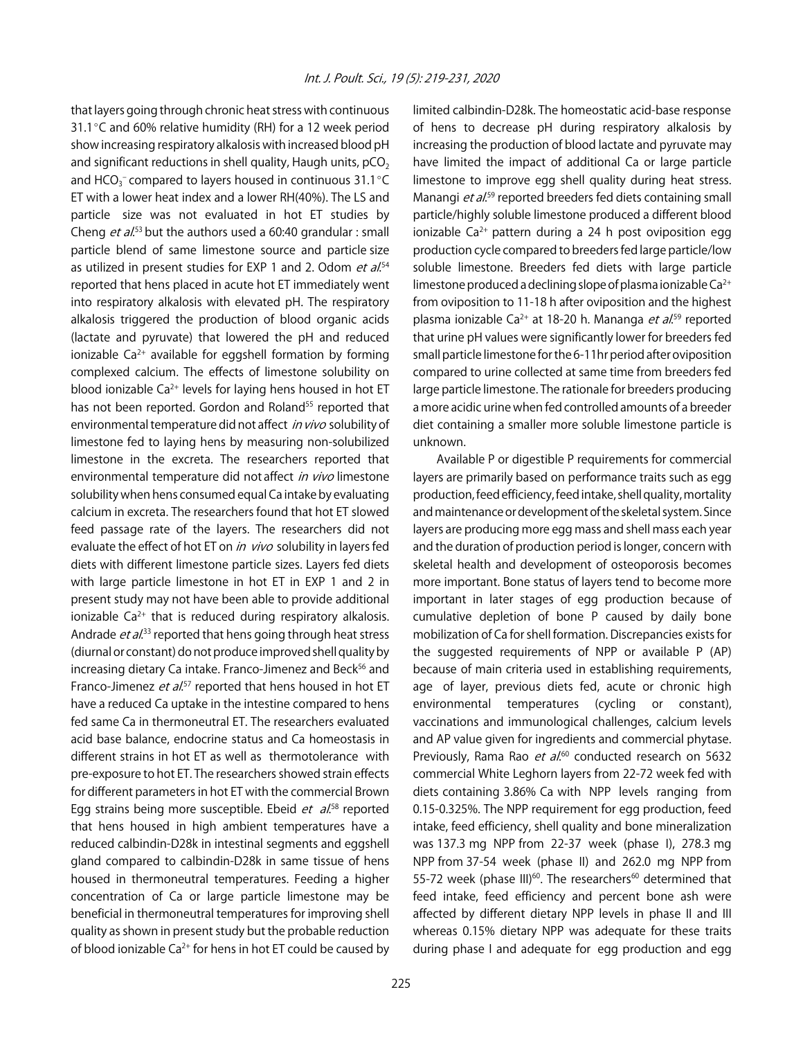that layers going through chronic heat stress with continuous 31.1 $\degree$ C and 60% relative humidity (RH) for a 12 week period show increasing respiratory alkalosis with increased blood pH and significant reductions in shell quality, Haugh units,  $pCO<sub>2</sub>$ and HCO<sub>3</sub><sup>-</sup> compared to layers housed in continuous 31.1 $\degree$ C ET with a lower heat index and a lower RH(40%). The LS and particle size was not evaluated in hot ET studies by Cheng *et al.*<sup>53</sup> but the authors used a 60:40 grandular : small particle blend of same limestone source and particle size as utilized in present studies for EXP 1 and 2. Odom *et al.*<sup>54</sup> reported that hens placed in acute hot ET immediately went into respiratory alkalosis with elevated pH. The respiratory alkalosis triggered the production of blood organic acids (lactate and pyruvate) that lowered the pH and reduced ionizable  $Ca^{2+}$  available for eggshell formation by forming complexed calcium. The effects of limestone solubility on blood ionizable  $Ca^{2+}$  levels for laying hens housed in hot ET has not been reported. Gordon and Roland<sup>55</sup> reported that environmental temperature did not affect in vivo solubility of limestone fed to laying hens by measuring non-solubilized limestone in the excreta. The researchers reported that environmental temperature did not affect in vivo limestone solubility when hens consumed equal Ca intake by evaluating calcium in excreta. The researchers found that hot ET slowed feed passage rate of the layers. The researchers did not evaluate the effect of hot ET on in vivo solubility in layers fed diets with different limestone particle sizes. Layers fed diets with large particle limestone in hot ET in EXP 1 and 2 in present study may not have been able to provide additional ionizable  $Ca^{2+}$  that is reduced during respiratory alkalosis. Andrade et al.<sup>33</sup> reported that hens going through heat stress (diurnal or constant) do not produce improved shell quality by increasing dietary Ca intake. Franco-Jimenez and Beck<sup>56</sup> and Franco-Jimenez *et al.*<sup>57</sup> reported that hens housed in hot ET have a reduced Ca uptake in the intestine compared to hens fed same Ca in thermoneutral ET. The researchers evaluated acid base balance, endocrine status and Ca homeostasis in different strains in hot ET as well as thermotolerance with pre-exposure to hot ET. The researchers showed strain effects for different parameters in hot ET with the commercial Brown Egg strains being more susceptible. Ebeid et al.<sup>58</sup> reported that hens housed in high ambient temperatures have a reduced calbindin-D28k in intestinal segments and eggshell gland compared to calbindin-D28k in same tissue of hens housed in thermoneutral temperatures. Feeding a higher concentration of Ca or large particle limestone may be beneficial in thermoneutral temperatures for improving shell quality as shown in present study but the probable reduction of blood ionizable  $Ca^{2+}$  for hens in hot ET could be caused by

limited calbindin-D28k. The homeostatic acid-base response of hens to decrease pH during respiratory alkalosis by increasing the production of blood lactate and pyruvate may have limited the impact of additional Ca or large particle limestone to improve egg shell quality during heat stress. Manangi *et al.*<sup>59</sup> reported breeders fed diets containing small particle/highly soluble limestone produced a different blood ionizable Ca<sup>2+</sup> pattern during a 24 h post oviposition egg production cycle compared to breeders fed large particle/low soluble limestone. Breeders fed diets with large particle limestone produced a declining slope of plasma ionizable  $Ca^{2+}$ from oviposition to 11-18 h after oviposition and the highest plasma ionizable Ca<sup>2+</sup> at 18-20 h. Mananga *et al*.<sup>59</sup> reported that urine pH values were significantly lower for breeders fed small particle limestone for the 6-11hr period after oviposition compared to urine collected at same time from breeders fed large particle limestone. The rationale for breeders producing a more acidic urine when fed controlled amounts of a breeder diet containing a smaller more soluble limestone particle is unknown.

Available P or digestible P requirements for commercial layers are primarily based on performance traits such as egg production, feed efficiency, feed intake, shell quality, mortality and maintenance or development of the skeletal system. Since layers are producing more egg mass and shell mass each year and the duration of production period is longer, concern with skeletal health and development of osteoporosis becomes more important. Bone status of layers tend to become more important in later stages of egg production because of cumulative depletion of bone P caused by daily bone mobilization of Ca for shell formation. Discrepancies exists for the suggested requirements of NPP or available P (AP) because of main criteria used in establishing requirements, age of layer, previous diets fed, acute or chronic high environmental temperatures (cycling or constant), vaccinations and immunological challenges, calcium levels and AP value given for ingredients and commercial phytase. Previously, Rama Rao et al.<sup>60</sup> conducted research on 5632 commercial White Leghorn layers from 22-72 week fed with diets containing 3.86% Ca with NPP levels ranging from 0.15-0.325%. The NPP requirement for egg production, feed intake, feed efficiency, shell quality and bone mineralization was 137.3 mg NPP from 22-37 week (phase I), 278.3 mg NPP from 37-54 week (phase II) and 262.0 mg NPP from 55-72 week (phase III)<sup>60</sup>. The researchers<sup>60</sup> determined that feed intake, feed efficiency and percent bone ash were affected by different dietary NPP levels in phase II and III whereas 0.15% dietary NPP was adequate for these traits during phase I and adequate for egg production and egg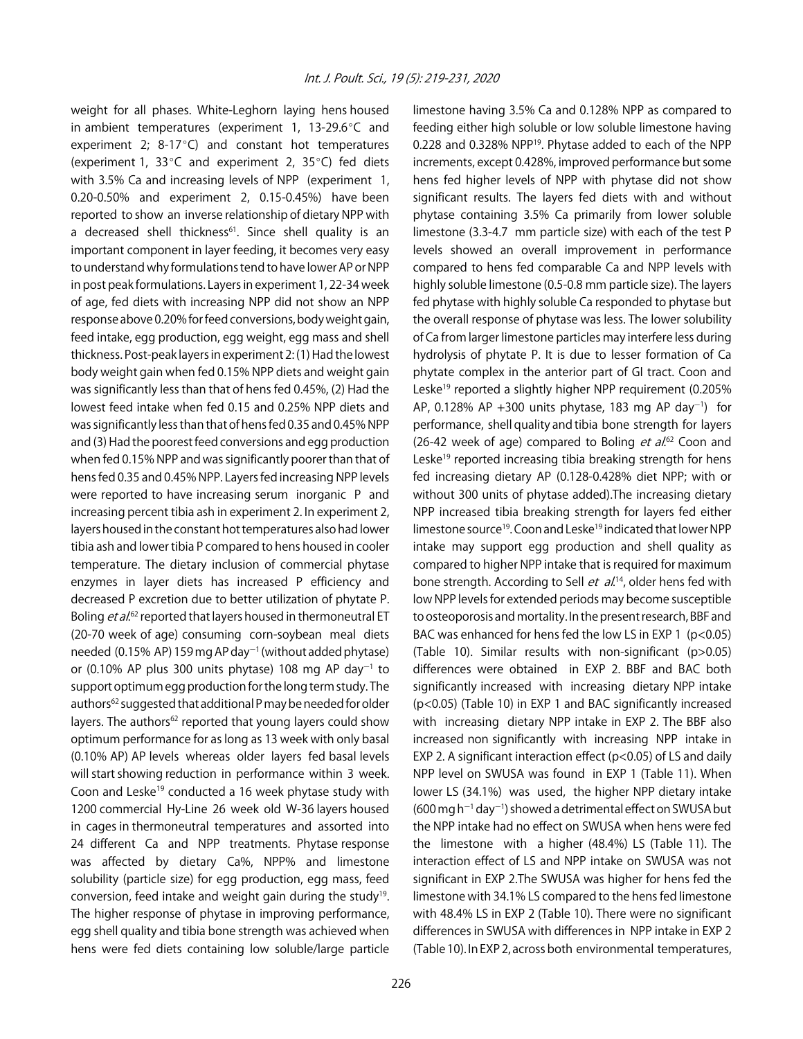weight for all phases. White-Leghorn laying hens housed in ambient temperatures (experiment 1, 13-29.6 $\degree$ C and experiment 2;  $8-17^{\circ}C$ ) and constant hot temperatures (experiment 1, 33 $\degree$ C and experiment 2, 35 $\degree$ C) fed diets with 3.5% Ca and increasing levels of NPP (experiment 1, 0.20-0.50% and experiment 2, 0.15-0.45%) have been reported to show an inverse relationship of dietary NPP with a decreased shell thickness<sup>61</sup>. Since shell quality is an important component in layer feeding, it becomes very easy to understand why formulations tend to have lower AP or NPP in post peak formulations. Layers in experiment 1, 22-34 week of age, fed diets with increasing NPP did not show an NPP response above 0.20% for feed conversions, body weight gain, feed intake, egg production, egg weight, egg mass and shell thickness. Post-peak layers in experiment 2: (1) Had the lowest body weight gain when fed 0.15% NPP diets and weight gain was significantly less than that of hens fed 0.45%, (2) Had the lowest feed intake when fed 0.15 and 0.25% NPP diets and was significantly less than that of hens fed 0.35 and 0.45% NPP and (3) Had the poorest feed conversions and egg production when fed 0.15% NPP and was significantly poorer than that of hens fed 0.35 and 0.45% NPP. Layers fed increasing NPP levels were reported to have increasing serum inorganic P and increasing percent tibia ash in experiment 2. In experiment 2, layers housed in the constant hot temperatures also had lower tibia ash and lower tibia P compared to hens housed in cooler temperature. The dietary inclusion of commercial phytase enzymes in layer diets has increased P efficiency and decreased P excretion due to better utilization of phytate P. Boling *et al.*<sup>62</sup> reported that layers housed in thermoneutral ET (20-70 week of age) consuming corn-soybean meal diets needed (0.15% AP) 159 mg AP day $^{-1}$  (without added phytase) or (0.10% AP plus 300 units phytase) 108 mg AP day $^{-1}$  to support optimum egg production for the long term study. The authors<sup>62</sup> suggested that additional P may be needed for older layers. The authors<sup>62</sup> reported that young layers could show optimum performance for as long as 13 week with only basal (0.10% AP) AP levels whereas older layers fed basal levels will start showing reduction in performance within 3 week. Coon and Leske<sup>19</sup> conducted a 16 week phytase study with 1200 commercial Hy-Line 26 week old W-36 layers housed in cages in thermoneutral temperatures and assorted into 24 different Ca and NPP treatments. Phytase response was affected by dietary Ca%, NPP% and limestone solubility (particle size) for egg production, egg mass, feed conversion, feed intake and weight gain during the study19. The higher response of phytase in improving performance, egg shell quality and tibia bone strength was achieved when hens were fed diets containing low soluble/large particle

limestone having 3.5% Ca and 0.128% NPP as compared to feeding either high soluble or low soluble limestone having 0.228 and 0.328% NPP19. Phytase added to each of the NPP increments, except 0.428%, improved performance but some hens fed higher levels of NPP with phytase did not show significant results. The layers fed diets with and without phytase containing 3.5% Ca primarily from lower soluble limestone (3.3-4.7 mm particle size) with each of the test P levels showed an overall improvement in performance compared to hens fed comparable Ca and NPP levels with highly soluble limestone (0.5-0.8 mm particle size). The layers fed phytase with highly soluble Ca responded to phytase but the overall response of phytase was less. The lower solubility of Ca from larger limestone particles may interfere less during hydrolysis of phytate P. It is due to lesser formation of Ca phytate complex in the anterior part of GI tract. Coon and Leske<sup>19</sup> reported a slightly higher NPP requirement (0.205% AP, 0.128% AP  $+300$  units phytase, 183 mg AP day<sup>-1</sup>) for performance, shell quality and tibia bone strength for layers (26-42 week of age) compared to Boling  $et$   $al$ <sup>62</sup> Coon and Leske<sup>19</sup> reported increasing tibia breaking strength for hens fed increasing dietary AP (0.128-0.428% diet NPP; with or without 300 units of phytase added).The increasing dietary NPP increased tibia breaking strength for layers fed either limestone source<sup>19</sup>. Coon and Leske<sup>19</sup> indicated that lower NPP intake may support egg production and shell quality as compared to higher NPP intake that is required for maximum bone strength. According to Sell *et al.*<sup>14</sup>, older hens fed with low NPP levels for extended periods may become susceptible to osteoporosis and mortality. In the present research, BBF and BAC was enhanced for hens fed the low LS in EXP 1 (p<0.05) (Table 10). Similar results with non-significant (p>0.05) differences were obtained in EXP 2. BBF and BAC both significantly increased with increasing dietary NPP intake (p<0.05) (Table 10) in EXP 1 and BAC significantly increased with increasing dietary NPP intake in EXP 2. The BBF also increased non significantly with increasing NPP intake in EXP 2. A significant interaction effect (p<0.05) of LS and daily NPP level on SWUSA was found in EXP 1 (Table 11). When lower LS (34.1%) was used, the higher NPP dietary intake  $(600 \,\text{mg}\,h^{-1}\,\text{day}^{-1})$  showed a detrimental effect on SWUSA but the NPP intake had no effect on SWUSA when hens were fed the limestone with a higher (48.4%) LS (Table 11). The interaction effect of LS and NPP intake on SWUSA was not significant in EXP 2.The SWUSA was higher for hens fed the limestone with 34.1% LS compared to the hens fed limestone with 48.4% LS in EXP 2 (Table 10). There were no significant differences in SWUSA with differences in NPP intake in EXP 2 (Table 10). In EXP 2, across both environmental temperatures,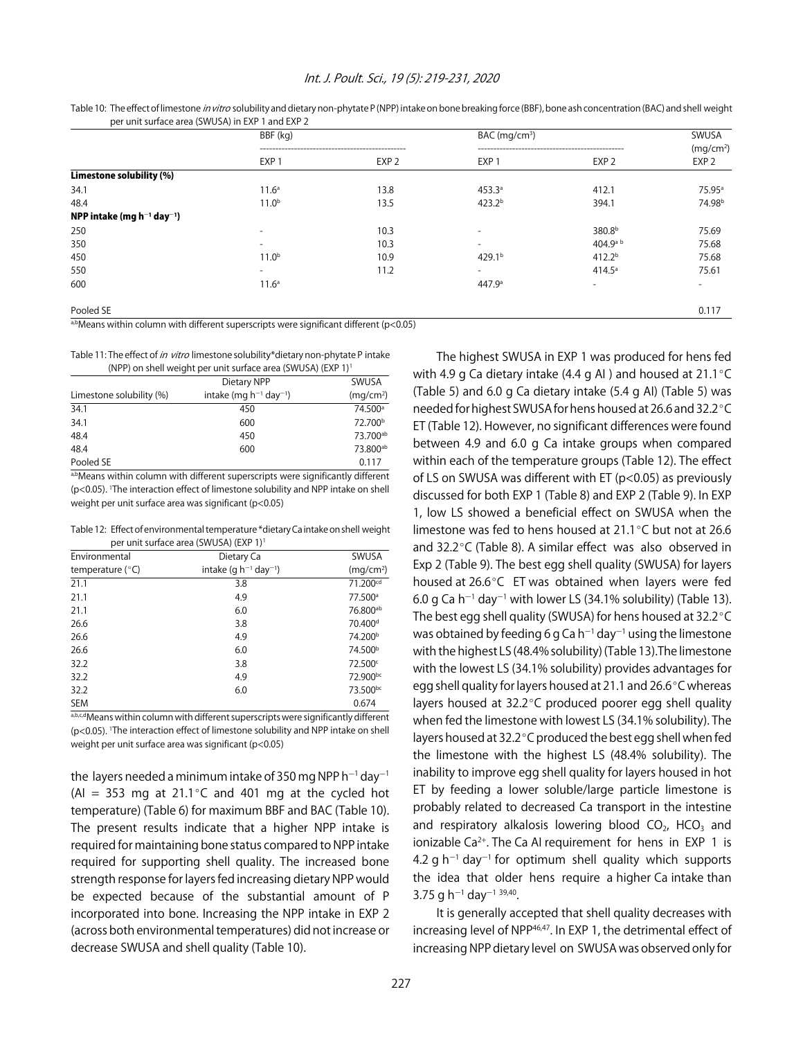#### Int. J. Poult. Sci., 19 (5): 219-231, 2020

|                                       | BBF (kg)                 |                  | $BAC$ (mg/cm <sup>3</sup> ) | SWUSA                    |                                           |
|---------------------------------------|--------------------------|------------------|-----------------------------|--------------------------|-------------------------------------------|
|                                       | EXP <sub>1</sub>         | EXP <sub>2</sub> | EXP <sub>1</sub>            | EXP <sub>2</sub>         | (mg/cm <sup>2</sup> )<br>EXP <sub>2</sub> |
| Limestone solubility (%)              |                          |                  |                             |                          |                                           |
| 34.1                                  | 11.6 <sup>a</sup>        | 13.8             | 453.3a                      | 412.1                    | 75.95 <sup>a</sup>                        |
| 48.4                                  | 11.0 <sup>b</sup>        | 13.5             | 423.2 <sup>b</sup>          | 394.1                    | 74.98 <sup>b</sup>                        |
| NPP intake (mg $h^{-1}$ day $^{-1}$ ) |                          |                  |                             |                          |                                           |
| 250                                   |                          | 10.3             |                             | 380.8 <sup>b</sup>       | 75.69                                     |
| 350                                   | $\overline{\phantom{0}}$ | 10.3             | $\overline{\phantom{0}}$    | 404.9 <sup>a b</sup>     | 75.68                                     |
| 450                                   | 11.0 <sup>b</sup>        | 10.9             | 429.1 <sup>b</sup>          | 412.2 <sup>b</sup>       | 75.68                                     |
| 550                                   | $\overline{\phantom{a}}$ | 11.2             | $\overline{\phantom{a}}$    | $414.5^{\circ}$          | 75.61                                     |
| 600                                   | 11.6 <sup>a</sup>        |                  | 447.9 <sup>a</sup>          | $\overline{\phantom{a}}$ |                                           |
| Pooled SE                             |                          |                  |                             |                          | 0.117                                     |

Table 10: The effect of limestone in vitro solubility and dietary non-phytate P (NPP) intake on bone breaking force (BBF), bone ash concentration (BAC) and shell weight per unit surface area (SWUSA) in EXP 1 and EXP 2

a,bMeans within column with different superscripts were significant different ( $p$ <0.05)

Table 11: The effect of in vitro limestone solubility\*dietary non-phytate P intake

| (NPP) on shell weight per unit surface area (SWUSA) (EXP 1) <sup>1</sup> |                                         |                       |  |  |
|--------------------------------------------------------------------------|-----------------------------------------|-----------------------|--|--|
|                                                                          | Dietary NPP                             | SWUSA                 |  |  |
| Limestone solubility (%)                                                 | intake (mg $h^{-1}$ day <sup>-1</sup> ) | (mq/cm <sup>2</sup> ) |  |  |
| 34.1                                                                     | 450                                     | 74.500 <sup>a</sup>   |  |  |
| 34.1                                                                     | 600                                     | 72.700 <sup>b</sup>   |  |  |
| 48.4                                                                     | 450                                     | 73.700ab              |  |  |
| 48.4                                                                     | 600                                     | 73.800ab              |  |  |
| Pooled SE                                                                |                                         | 0.117                 |  |  |

a,bMeans within column with different superscripts were significantly different (p<0.05). 1 The interaction effect of limestone solubility and NPP intake on shell weight per unit surface area was significant (p<0.05)

Table 12: Effect of environmental temperature \*dietary Ca intake on shell weight per unit surface area (SWUSA) (EXP 1)1

| Environmental      | Dietary Ca                             | SWUSA                 |
|--------------------|----------------------------------------|-----------------------|
| temperature $(°C)$ | intake (g $h^{-1}$ day <sup>-1</sup> ) | (mq/cm <sup>2</sup> ) |
| 21.1               | 3.8                                    | 71.200cd              |
| 21.1               | 4.9                                    | 77.500 <sup>a</sup>   |
| 21.1               | 6.0                                    | 76.800 <sup>ab</sup>  |
| 26.6               | 3.8                                    | 70.400 <sup>d</sup>   |
| 26.6               | 4.9                                    | 74.200 <sup>b</sup>   |
| 26.6               | 6.0                                    | 74.500 <sup>b</sup>   |
| 32.2               | 3.8                                    | 72.500°               |
| 32.2               | 4.9                                    | 72.900bc              |
| 32.2               | 6.0                                    | 73.500bc              |
| <b>SEM</b>         |                                        | 0.674                 |

a,b,c,dMeans within column with different superscripts were significantly different (p<0.05). 1 The interaction effect of limestone solubility and NPP intake on shell weight per unit surface area was significant (p<0.05)

the layers needed a minimum intake of 350 mg NPP h $^{\rm -1}$  day $^{\rm -1}$ (AI = 353 mg at 21.1 $^{\circ}$ C and 401 mg at the cycled hot temperature) (Table 6) for maximum BBF and BAC (Table 10). The present results indicate that a higher NPP intake is required for maintaining bone status compared to NPP intake required for supporting shell quality. The increased bone strength response for layers fed increasing dietary NPP would be expected because of the substantial amount of P incorporated into bone. Increasing the NPP intake in EXP 2 (across both environmental temperatures) did not increase or decrease SWUSA and shell quality (Table 10).

The highest SWUSA in EXP 1 was produced for hens fed with 4.9 g Ca dietary intake (4.4 g AI ) and housed at  $21.1^{\circ}$ C (Table 5) and 6.0 g Ca dietary intake (5.4 g AI) (Table 5) was needed for highest SWUSA for hens housed at 26.6 and 32.2 °C ET (Table 12). However, no significant differences were found between 4.9 and 6.0 g Ca intake groups when compared within each of the temperature groups (Table 12). The effect of LS on SWUSA was different with ET (p<0.05) as previously discussed for both EXP 1 (Table 8) and EXP 2 (Table 9). In EXP 1, low LS showed a beneficial effect on SWUSA when the limestone was fed to hens housed at  $21.1^{\circ}$ C but not at 26.6 and 32.2 $\degree$ C (Table 8). A similar effect was also observed in Exp 2 (Table 9). The best egg shell quality (SWUSA) for layers housed at  $26.6^{\circ}$ C ET was obtained when layers were fed 6.0 g Ca h $^{-1}$  day $^{-1}$  with lower LS (34.1% solubility) (Table 13). The best egg shell quality (SWUSA) for hens housed at  $32.2^{\circ}$ C was obtained by feeding 6 g Ca h $^{-1}$  day $^{-1}$  using the limestone with the highest LS (48.4% solubility) (Table 13).The limestone with the lowest LS (34.1% solubility) provides advantages for egg shell quality for layers housed at 21.1 and 26.6°C whereas layers housed at  $32.2^{\circ}$ C produced poorer egg shell quality when fed the limestone with lowest LS (34.1% solubility). The layers housed at 32.2 $^{\circ}$ C produced the best egg shell when fed the limestone with the highest LS (48.4% solubility). The inability to improve egg shell quality for layers housed in hot ET by feeding a lower soluble/large particle limestone is probably related to decreased Ca transport in the intestine and respiratory alkalosis lowering blood  $CO<sub>2</sub>$ , HCO<sub>3</sub> and ionizable Ca<sup>2+</sup>. The Ca AI requirement for hens in EXP 1 is 4.2 g  $h^{-1}$  day<sup>-1</sup> for optimum shell quality which supports the idea that older hens require a higher Ca intake than  $3.75$  g h<sup>-1</sup> day<sup>-1 39,40</sup>.

It is generally accepted that shell quality decreases with increasing level of NPP<sup>46,47</sup>. In EXP 1, the detrimental effect of increasing NPP dietary level on SWUSA was observed only for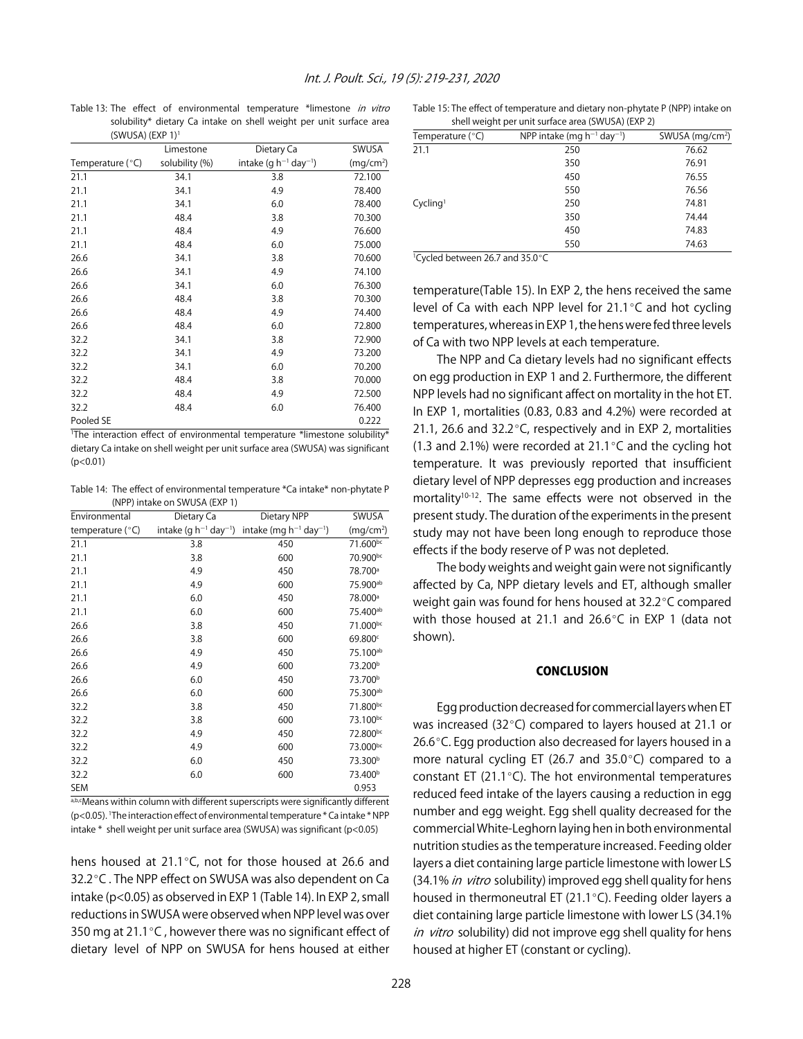Table 13: The effect of environmental temperature \*limestone in vitro solubility\* dietary Ca intake on shell weight per unit surface area (SWUSA) (EXP 1)1

|                  | Limestone      | Dietary Ca                             | SWUSA                 |
|------------------|----------------|----------------------------------------|-----------------------|
| Temperature (°C) | solubility (%) | intake (q $h^{-1}$ day <sup>-1</sup> ) | (mq/cm <sup>2</sup> ) |
| 21.1             | 34.1           | 3.8                                    | 72.100                |
| 21.1             | 34.1           | 4.9                                    | 78.400                |
| 21.1             | 34.1           | 6.0                                    | 78.400                |
| 21.1             | 48.4           | 3.8                                    | 70.300                |
| 21.1             | 48.4           | 4.9                                    | 76.600                |
| 21.1             | 48.4           | 6.0                                    | 75.000                |
| 26.6             | 34.1           | 3.8                                    | 70.600                |
| 26.6             | 34.1           | 4.9                                    | 74.100                |
| 26.6             | 34.1           | 6.0                                    | 76.300                |
| 26.6             | 48.4           | 3.8                                    | 70.300                |
| 26.6             | 48.4           | 4.9                                    | 74.400                |
| 26.6             | 48.4           | 6.0                                    | 72.800                |
| 32.2             | 34.1           | 3.8                                    | 72.900                |
| 32.2             | 34.1           | 4.9                                    | 73.200                |
| 32.2             | 34.1           | 6.0                                    | 70.200                |
| 32.2             | 48.4           | 3.8                                    | 70.000                |
| 32.2             | 48.4           | 4.9                                    | 72.500                |
| 32.2             | 48.4           | 6.0                                    | 76.400                |
| Pooled SE        |                |                                        | 0.222                 |

1 The interaction effect of environmental temperature \*limestone solubility\* dietary Ca intake on shell weight per unit surface area (SWUSA) was significant  $(p<0.01)$ 

Table 14: The effect of environmental temperature \*Ca intake\* non-phytate P (NPP) intake on SWUSA (EXP 1)

| Environmental      | Dietary Ca                             | Dietary NPP                             | SWUSA                 |
|--------------------|----------------------------------------|-----------------------------------------|-----------------------|
| temperature $(°C)$ | intake (g $h^{-1}$ day <sup>-1</sup> ) | intake (mg $h^{-1}$ day <sup>-1</sup> ) | (mq/cm <sup>2</sup> ) |
| 21.1               | 3.8                                    | 450                                     | 71.600bc              |
| 21.1               | 3.8                                    | 600                                     | 70.900bc              |
| 21.1               | 4.9                                    | 450                                     | 78.700 <sup>a</sup>   |
| 21.1               | 4.9                                    | 600                                     | 75.900ab              |
| 21.1               | 6.0                                    | 450                                     | 78.000 <sup>a</sup>   |
| 21.1               | 6.0                                    | 600                                     | 75.400 <sup>ab</sup>  |
| 26.6               | 3.8                                    | 450                                     | 71.000bc              |
| 26.6               | 3.8                                    | 600                                     | 69.800c               |
| 26.6               | 4.9                                    | 450                                     | 75.100 <sup>ab</sup>  |
| 26.6               | 4.9                                    | 600                                     | 73.200 <sup>b</sup>   |
| 26.6               | 6.0                                    | 450                                     | 73.700 <sup>b</sup>   |
| 26.6               | 6.0                                    | 600                                     | 75.300ab              |
| 32.2               | 3.8                                    | 450                                     | 71.800bc              |
| 32.2               | 3.8                                    | 600                                     | 73.100bc              |
| 32.2               | 4.9                                    | 450                                     | 72.800bc              |
| 32.2               | 4.9                                    | 600                                     | 73.000bc              |
| 32.2               | 6.0                                    | 450                                     | 73.300 <sup>b</sup>   |
| 32.2               | 6.0                                    | 600                                     | 73.400 <sup>b</sup>   |
| <b>SEM</b>         |                                        |                                         | 0.953                 |

a,b,cMeans within column with different superscripts were significantly different (p<0.05). 1 The interaction effect of environmental temperature \* Ca intake \* NPP intake \* shell weight per unit surface area (SWUSA) was significant (p<0.05)

hens housed at  $21.1^{\circ}$ C, not for those housed at 26.6 and 32.2 °C. The NPP effect on SWUSA was also dependent on Ca intake (p<0.05) as observed in EXP 1 (Table 14). In EXP 2, small reductions in SWUSA were observed when NPP level was over 350 mg at 21.1 $\degree$ C, however there was no significant effect of dietary level of NPP on SWUSA for hens housed at either

Table 15: The effect of temperature and dietary non-phytate P (NPP) intake on shell weight per unit surface area (SWUSA) (EXP 2)

| Temperature $(°C)$   | NPP intake (mg $h^{-1}$ day <sup>-1</sup> ) | SWUSA ( $mq/cm2$ ) |
|----------------------|---------------------------------------------|--------------------|
| 21.1                 | 250                                         | 76.62              |
|                      | 350                                         | 76.91              |
|                      | 450                                         | 76.55              |
|                      | 550                                         | 76.56              |
| Cycling <sup>1</sup> | 250                                         | 74.81              |
|                      | 350                                         | 74.44              |
|                      | 450                                         | 74.83              |
|                      | 550                                         | 74.63              |

<sup>1</sup>Cycled between 26.7 and 35.0°C

temperature(Table 15). In EXP 2, the hens received the same level of Ca with each NPP level for  $21.1^{\circ}$ C and hot cycling temperatures, whereas in EXP 1, the hens were fed three levels of Ca with two NPP levels at each temperature.

The NPP and Ca dietary levels had no significant effects on egg production in EXP 1 and 2. Furthermore, the different NPP levels had no significant affect on mortality in the hot ET. In EXP 1, mortalities (0.83, 0.83 and 4.2%) were recorded at 21.1, 26.6 and 32.2 $\degree$ C, respectively and in EXP 2, mortalities (1.3 and 2.1%) were recorded at 21.1 $\degree$ C and the cycling hot temperature. It was previously reported that insufficient dietary level of NPP depresses egg production and increases mortality<sup>10-12</sup>. The same effects were not observed in the present study. The duration of the experiments in the present study may not have been long enough to reproduce those effects if the body reserve of P was not depleted.

The body weights and weight gain were not significantly affected by Ca, NPP dietary levels and ET, although smaller weight gain was found for hens housed at 32.2°C compared with those housed at 21.1 and 26.6 $\degree$ C in EXP 1 (data not shown).

# **CONCLUSION**

Egg production decreased for commercial layers when ET was increased (32 $\degree$ C) compared to layers housed at 21.1 or 26.6 $\degree$ C. Egg production also decreased for layers housed in a more natural cycling ET (26.7 and  $35.0^{\circ}$ C) compared to a constant ET (21.1 $^{\circ}$ C). The hot environmental temperatures reduced feed intake of the layers causing a reduction in egg number and egg weight. Egg shell quality decreased for the commercial White-Leghorn laying hen in both environmental nutrition studies as the temperature increased. Feeding older layers a diet containing large particle limestone with lower LS (34.1% in vitro solubility) improved egg shell quality for hens housed in thermoneutral ET (21.1 $^{\circ}$ C). Feeding older layers a diet containing large particle limestone with lower LS (34.1% in vitro solubility) did not improve egg shell quality for hens housed at higher ET (constant or cycling).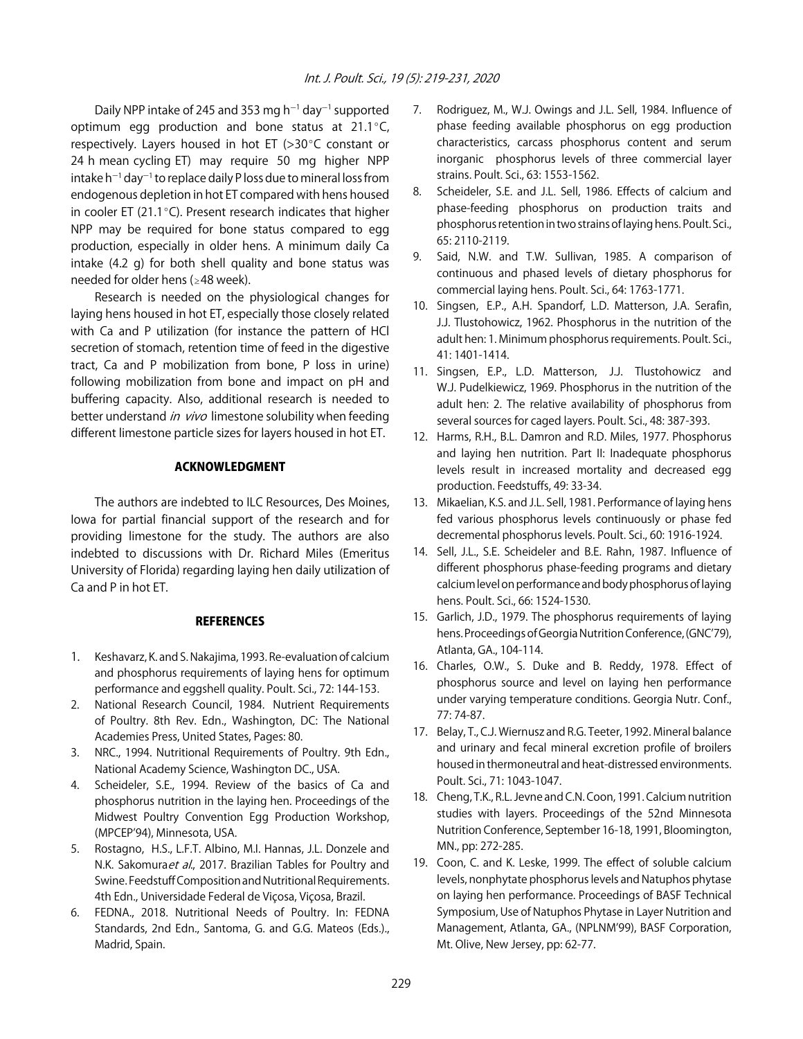Daily NPP intake of 245 and 353 mg h<sup>-1</sup> day<sup>-1</sup> supported optimum egg production and bone status at  $21.1^{\circ}$ C, respectively. Layers housed in hot ET ( $>30^{\circ}$ C constant or 24 h mean cycling ET) may require 50 mg higher NPP intake h $^{-1}$  day $^{-1}$  to replace daily P loss due to mineral loss from endogenous depletion in hot ET compared with hens housed in cooler ET (21.1 $^{\circ}$ C). Present research indicates that higher NPP may be required for bone status compared to egg production, especially in older hens. A minimum daily Ca intake (4.2 g) for both shell quality and bone status was needed for older hens ( $\geq$ 48 week).

Research is needed on the physiological changes for laying hens housed in hot ET, especially those closely related with Ca and P utilization (for instance the pattern of HCl secretion of stomach, retention time of feed in the digestive tract, Ca and P mobilization from bone, P loss in urine) following mobilization from bone and impact on pH and buffering capacity. Also, additional research is needed to better understand in vivo limestone solubility when feeding different limestone particle sizes for layers housed in hot ET.

# ACKNOWLEDGMENT

The authors are indebted to ILC Resources, Des Moines, Iowa for partial financial support of the research and for providing limestone for the study. The authors are also indebted to discussions with Dr. Richard Miles (Emeritus University of Florida) regarding laying hen daily utilization of Ca and P in hot ET.

# **REFERENCES**

- 1. Keshavarz, K. and S. Nakajima, 1993. Re-evaluation of calcium and phosphorus requirements of laying hens for optimum performance and eggshell quality. Poult. Sci., 72: 144-153.
- 2. National Research Council, 1984. Nutrient Requirements of Poultry. 8th Rev. Edn., Washington, DC: The National Academies Press, United States, Pages: 80.
- 3. NRC., 1994. Nutritional Requirements of Poultry. 9th Edn., National Academy Science, Washington DC., USA.
- 4. Scheideler, S.E., 1994. Review of the basics of Ca and phosphorus nutrition in the laying hen. Proceedings of the Midwest Poultry Convention Egg Production Workshop, (MPCEP'94), Minnesota, USA.
- 5. Rostagno, H.S., L.F.T. Albino, M.I. Hannas, J.L. Donzele and N.K. Sakomuraet al., 2017. Brazilian Tables for Poultry and Swine. Feedstuff Composition and Nutritional Requirements. 4th Edn., Universidade Federal de Viçosa, Viçosa, Brazil.
- 6. FEDNA., 2018. Nutritional Needs of Poultry. In: FEDNA Standards, 2nd Edn., Santoma, G. and G.G. Mateos (Eds.)., Madrid, Spain.
- 7. Rodriguez, M., W.J. Owings and J.L. Sell, 1984. Influence of phase feeding available phosphorus on egg production characteristics, carcass phosphorus content and serum inorganic phosphorus levels of three commercial layer strains. Poult. Sci., 63: 1553-1562.
- 8. Scheideler, S.E. and J.L. Sell, 1986. Effects of calcium and phase-feeding phosphorus on production traits and phosphorus retention in two strains of laying hens. Poult. Sci., 65: 2110-2119.
- 9. Said, N.W. and T.W. Sullivan, 1985. A comparison of continuous and phased levels of dietary phosphorus for commercial laying hens. Poult. Sci., 64: 1763-1771.
- 10. Singsen, E.P., A.H. Spandorf, L.D. Matterson, J.A. Serafin, J.J. Tlustohowicz, 1962. Phosphorus in the nutrition of the adult hen: 1. Minimum phosphorus requirements. Poult. Sci., 41: 1401-1414.
- 11. Singsen, E.P., L.D. Matterson, J.J. Tlustohowicz and W.J. Pudelkiewicz, 1969. Phosphorus in the nutrition of the adult hen: 2. The relative availability of phosphorus from several sources for caged layers. Poult. Sci., 48: 387-393.
- 12. Harms, R.H., B.L. Damron and R.D. Miles, 1977. Phosphorus and laying hen nutrition. Part II: Inadequate phosphorus levels result in increased mortality and decreased egg production. Feedstuffs, 49: 33-34.
- 13. Mikaelian, K.S. and J.L. Sell, 1981. Performance of laying hens fed various phosphorus levels continuously or phase fed decremental phosphorus levels. Poult. Sci., 60: 1916-1924.
- 14. Sell, J.L., S.E. Scheideler and B.E. Rahn, 1987. Influence of different phosphorus phase-feeding programs and dietary calcium level on performance and body phosphorus of laying hens. Poult. Sci., 66: 1524-1530.
- 15. Garlich, J.D., 1979. The phosphorus requirements of laying hens. Proceedings of Georgia Nutrition Conference, (GNC'79), Atlanta, GA., 104-114.
- 16. Charles, O.W., S. Duke and B. Reddy, 1978. Effect of phosphorus source and level on laying hen performance under varying temperature conditions. Georgia Nutr. Conf., 77: 74-87.
- 17. Belay, T., C.J. Wiernusz and R.G. Teeter, 1992. Mineral balance and urinary and fecal mineral excretion profile of broilers housed in thermoneutral and heat-distressed environments. Poult. Sci., 71: 1043-1047.
- 18. Cheng, T.K., R.L. Jevne and C.N. Coon, 1991. Calcium nutrition studies with layers. Proceedings of the 52nd Minnesota Nutrition Conference, September 16-18, 1991, Bloomington, MN., pp: 272-285.
- 19. Coon, C. and K. Leske, 1999. The effect of soluble calcium levels, nonphytate phosphorus levels and Natuphos phytase on laying hen performance. Proceedings of BASF Technical Symposium, Use of Natuphos Phytase in Layer Nutrition and Management, Atlanta, GA., (NPLNM'99), BASF Corporation, Mt. Olive, New Jersey, pp: 62-77.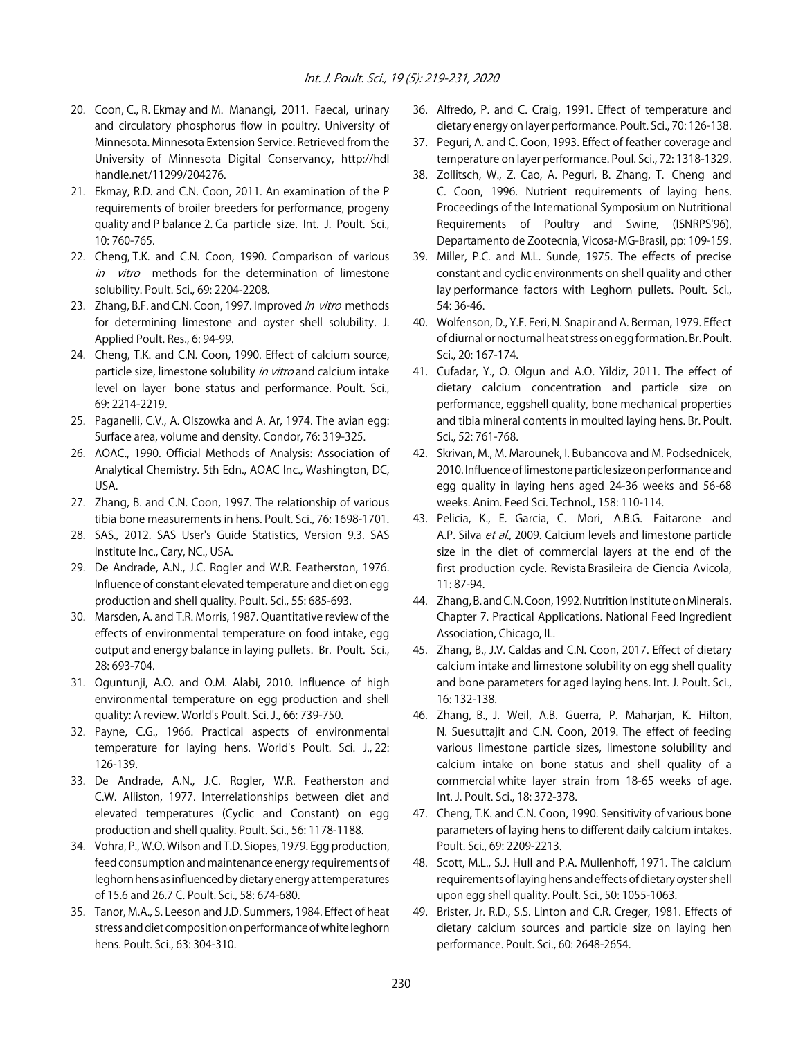- 20. Coon, C., R. Ekmay and M. Manangi, 2011. Faecal, urinary and circulatory phosphorus flow in poultry. University of Minnesota. Minnesota Extension Service. Retrieved from the University of Minnesota Digital Conservancy, http://hdl handle.net/11299/204276.
- 21. Ekmay, R.D. and C.N. Coon, 2011. An examination of the P requirements of broiler breeders for performance, progeny quality and P balance 2. Ca particle size. Int. J. Poult. Sci., 10: 760-765.
- 22. Cheng, T.K. and C.N. Coon, 1990. Comparison of various in vitro methods for the determination of limestone solubility. Poult. Sci., 69: 2204-2208.
- 23. Zhang, B.F. and C.N. Coon, 1997. Improved in vitro methods for determining limestone and oyster shell solubility. J. Applied Poult. Res., 6: 94-99.
- 24. Cheng, T.K. and C.N. Coon, 1990. Effect of calcium source, particle size, limestone solubility in vitro and calcium intake level on layer bone status and performance. Poult. Sci., 69: 2214-2219.
- 25. Paganelli, C.V., A. Olszowka and A. Ar, 1974. The avian egg: Surface area, volume and density. Condor, 76: 319-325.
- 26. AOAC., 1990. Official Methods of Analysis: Association of Analytical Chemistry. 5th Edn., AOAC Inc., Washington, DC, USA.
- 27. Zhang, B. and C.N. Coon, 1997. The relationship of various tibia bone measurements in hens. Poult. Sci., 76: 1698-1701.
- 28. SAS., 2012. SAS User's Guide Statistics, Version 9.3. SAS Institute Inc., Cary, NC., USA.
- 29. De Andrade, A.N., J.C. Rogler and W.R. Featherston, 1976. Influence of constant elevated temperature and diet on egg production and shell quality. Poult. Sci., 55: 685-693.
- 30. Marsden, A. and T.R. Morris, 1987. Quantitative review of the effects of environmental temperature on food intake, egg output and energy balance in laying pullets. Br. Poult. Sci., 28: 693-704.
- 31. Oguntunji, A.O. and O.M. Alabi, 2010. Influence of high environmental temperature on egg production and shell quality: A review. World's Poult. Sci. J., 66: 739-750.
- 32. Payne, C.G., 1966. Practical aspects of environmental temperature for laying hens. World's Poult. Sci. J., 22: 126-139.
- 33. De Andrade, A.N., J.C. Rogler, W.R. Featherston and C.W. Alliston, 1977. Interrelationships between diet and elevated temperatures (Cyclic and Constant) on egg production and shell quality. Poult. Sci., 56: 1178-1188.
- 34. Vohra, P., W.O. Wilson and T.D. Siopes, 1979. Egg production, feed consumption and maintenance energy requirements of leghorn hens as influenced by dietary energy at temperatures of 15.6 and 26.7 C. Poult. Sci., 58: 674-680.
- 35. Tanor, M.A., S. Leeson and J.D. Summers, 1984. Effect of heat stress and diet composition on performance of white leghorn hens. Poult. Sci., 63: 304-310.
- 36. Alfredo, P. and C. Craig, 1991. Effect of temperature and dietary energy on layer performance. Poult. Sci., 70: 126-138.
- 37. Peguri, A. and C. Coon, 1993. Effect of feather coverage and temperature on layer performance. Poul. Sci., 72: 1318-1329.
- 38. Zollitsch, W., Z. Cao, A. Peguri, B. Zhang, T. Cheng and C. Coon, 1996. Nutrient requirements of laying hens. Proceedings of the International Symposium on Nutritional Requirements of Poultry and Swine, (ISNRPS'96), Departamento de Zootecnia, Vicosa-MG-Brasil, pp: 109-159.
- 39. Miller, P.C. and M.L. Sunde, 1975. The effects of precise constant and cyclic environments on shell quality and other lay performance factors with Leghorn pullets. Poult. Sci., 54: 36-46.
- 40. Wolfenson, D., Y.F. Feri, N. Snapir and A. Berman, 1979. Effect of diurnal or nocturnal heat stress on egg formation. Br. Poult. Sci., 20: 167-174.
- 41. Cufadar, Y., O. Olgun and A.O. Yildiz, 2011. The effect of dietary calcium concentration and particle size on performance, eggshell quality, bone mechanical properties and tibia mineral contents in moulted laying hens. Br. Poult. Sci., 52: 761-768.
- 42. Skrivan, M., M. Marounek, I. Bubancova and M. Podsednicek, 2010. Influence of limestone particle size on performance and egg quality in laying hens aged 24-36 weeks and 56-68 weeks. Anim. Feed Sci. Technol., 158: 110-114.
- 43. Pelicia, K., E. Garcia, C. Mori, A.B.G. Faitarone and A.P. Silva et al., 2009. Calcium levels and limestone particle size in the diet of commercial layers at the end of the first production cycle. Revista Brasileira de Ciencia Avicola, 11: 87-94.
- 44. Zhang, B. and C.N. Coon, 1992. Nutrition Institute on Minerals. Chapter 7. Practical Applications. National Feed Ingredient Association, Chicago, IL.
- 45. Zhang, B., J.V. Caldas and C.N. Coon, 2017. Effect of dietary calcium intake and limestone solubility on egg shell quality and bone parameters for aged laying hens. Int. J. Poult. Sci., 16: 132-138.
- 46. Zhang, B., J. Weil, A.B. Guerra, P. Maharjan, K. Hilton, N. Suesuttajit and C.N. Coon, 2019. The effect of feeding various limestone particle sizes, limestone solubility and calcium intake on bone status and shell quality of a commercial white layer strain from 18-65 weeks of age. Int. J. Poult. Sci., 18: 372-378.
- 47. Cheng, T.K. and C.N. Coon, 1990. Sensitivity of various bone parameters of laying hens to different daily calcium intakes. Poult. Sci., 69: 2209-2213.
- 48. Scott, M.L., S.J. Hull and P.A. Mullenhoff, 1971. The calcium requirements of laying hens and effects of dietary oyster shell upon egg shell quality. Poult. Sci., 50: 1055-1063.
- 49. Brister, Jr. R.D., S.S. Linton and C.R. Creger, 1981. Effects of dietary calcium sources and particle size on laying hen performance. Poult. Sci., 60: 2648-2654.